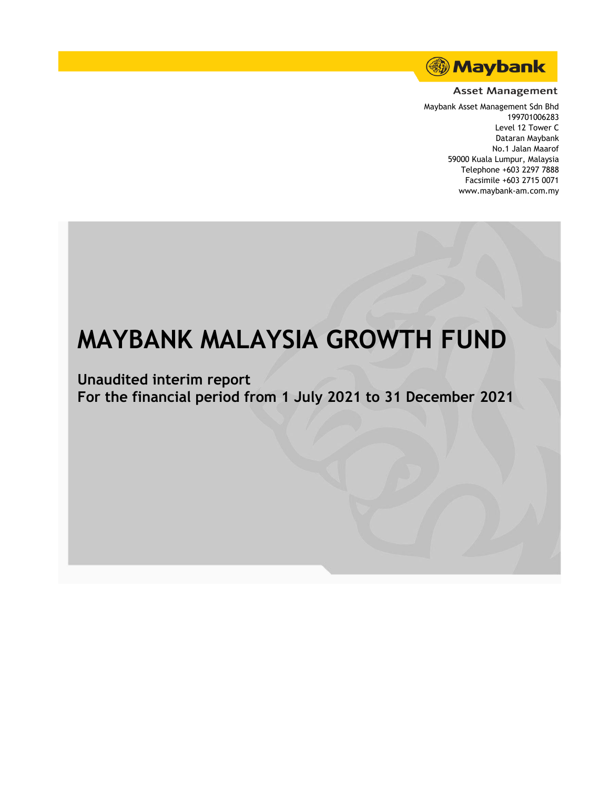

#### **Asset Management**

Maybank Asset Management Sdn Bhd 199701006283 Level 12 Tower C Dataran Maybank No.1 Jalan Maarof 59000 Kuala Lumpur, Malaysia Telephone +603 2297 7888 Facsimile +603 2715 0071 www.maybank-am.com.my

# **MAYBANK MALAYSIA GROWTH FUND**

**Unaudited interim report For the financial period from 1 July 2021 to 31 December 2021**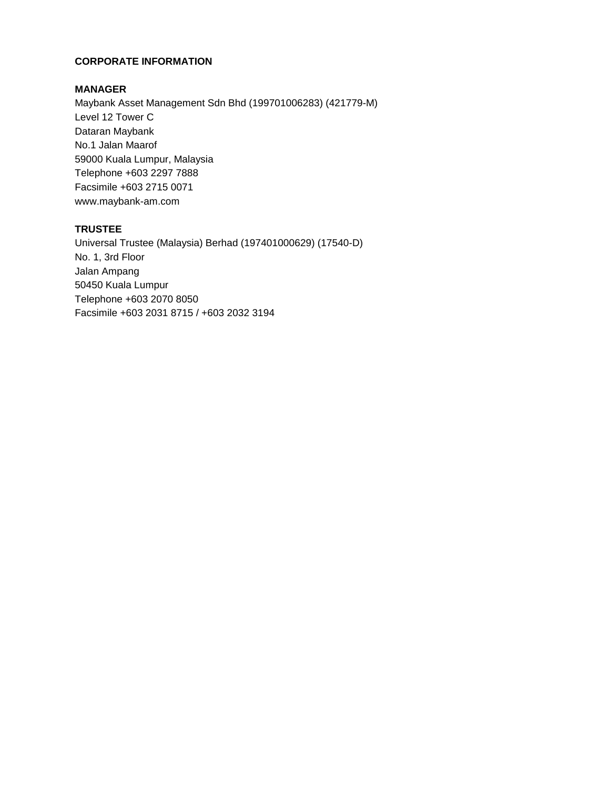### **CORPORATE INFORMATION**

# **MANAGER**

Maybank Asset Management Sdn Bhd (199701006283) (421779-M) Level 12 Tower C Dataran Maybank No.1 Jalan Maarof 59000 Kuala Lumpur, Malaysia Telephone +603 2297 7888 Facsimile +603 2715 0071 www.maybank-am.com

# **TRUSTEE**

Universal Trustee (Malaysia) Berhad (197401000629) (17540-D) No. 1, 3rd Floor Jalan Ampang 50450 Kuala Lumpur Telephone +603 2070 8050 Facsimile +603 2031 8715 / +603 2032 3194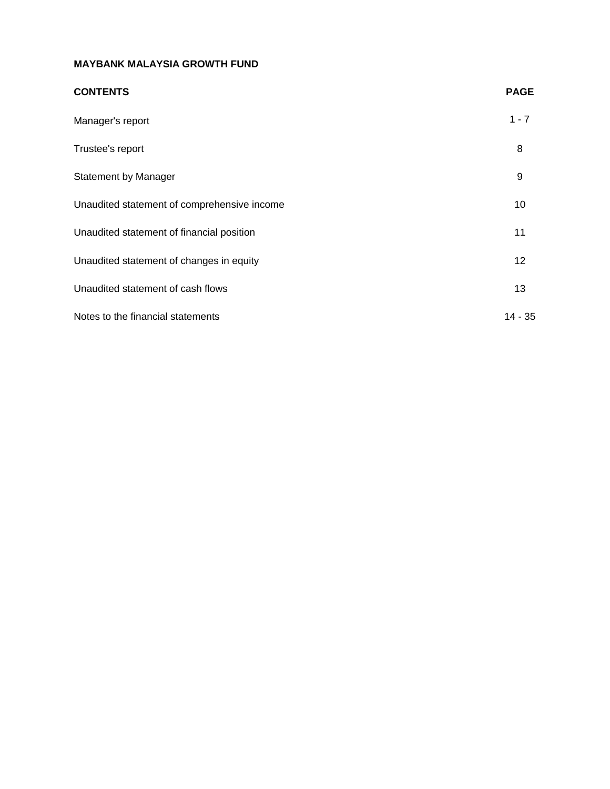| <b>CONTENTS</b>                             | <b>PAGE</b> |
|---------------------------------------------|-------------|
| Manager's report                            | $1 - 7$     |
| Trustee's report                            | 8           |
| <b>Statement by Manager</b>                 | 9           |
| Unaudited statement of comprehensive income | 10          |
| Unaudited statement of financial position   | 11          |
| Unaudited statement of changes in equity    | 12          |
| Unaudited statement of cash flows           | 13          |
| Notes to the financial statements           | $14 - 35$   |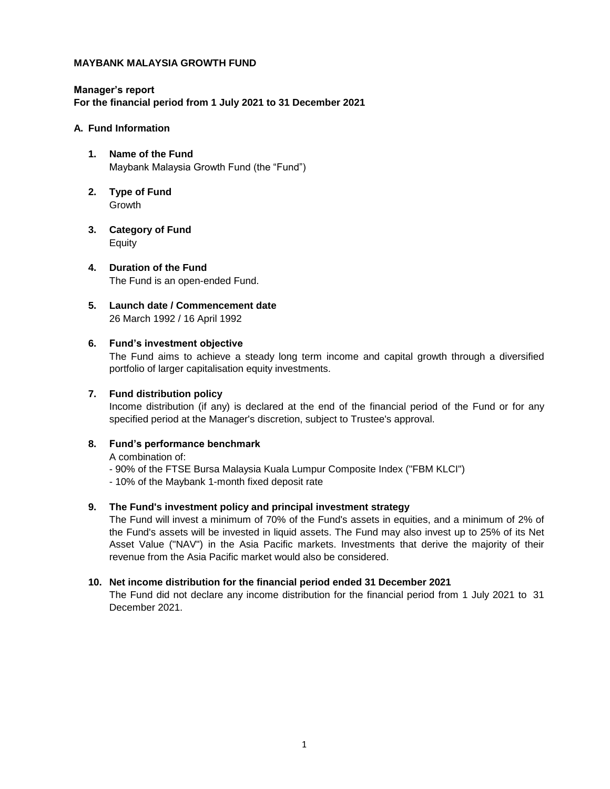**Manager's report For the financial period from 1 July 2021 to 31 December 2021**

#### **A. Fund Information**

- **1. Name of the Fund** Maybank Malaysia Growth Fund (the "Fund")
- **2. Type of Fund** Growth
- **3. Category of Fund** Equity
- **4. Duration of the Fund** The Fund is an open-ended Fund.
- **5. Launch date / Commencement date** 26 March 1992 / 16 April 1992

#### **6. Fund's investment objective**

The Fund aims to achieve a steady long term income and capital growth through a diversified portfolio of larger capitalisation equity investments.

#### **7. Fund distribution policy**

Income distribution (if any) is declared at the end of the financial period of the Fund or for any specified period at the Manager's discretion, subject to Trustee's approval.

#### **8. Fund's performance benchmark**

A combination of:

- 90% of the FTSE Bursa Malaysia Kuala Lumpur Composite Index ("FBM KLCI")
- 10% of the Maybank 1-month fixed deposit rate

#### **9. The Fund's investment policy and principal investment strategy**

The Fund will invest a minimum of 70% of the Fund's assets in equities, and a minimum of 2% of the Fund's assets will be invested in liquid assets. The Fund may also invest up to 25% of its Net Asset Value ("NAV") in the Asia Pacific markets. Investments that derive the majority of their revenue from the Asia Pacific market would also be considered.

#### **10. Net income distribution for the financial period ended 31 December 2021**

The Fund did not declare any income distribution for the financial period from 1 July 2021 to 31 December 2021.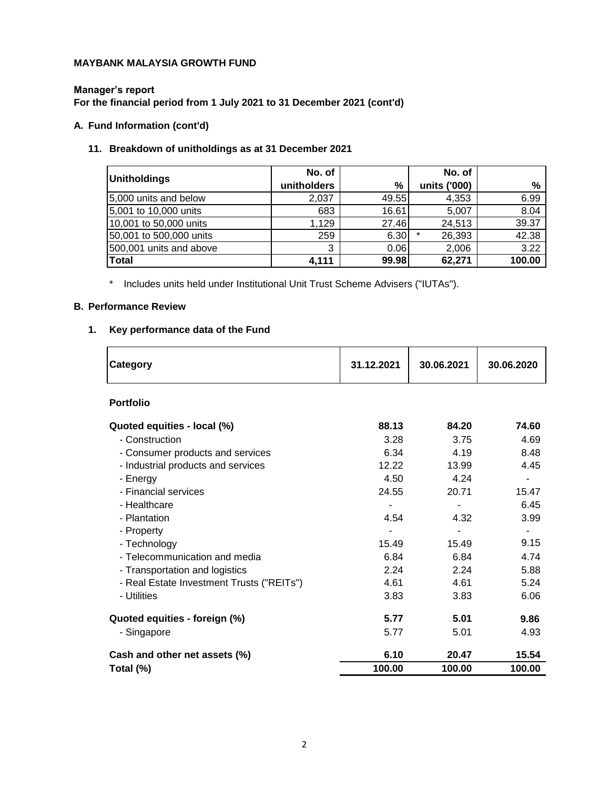### **Manager's report For the financial period from 1 July 2021 to 31 December 2021 (cont'd)**

# **A. Fund Information (cont'd)**

# **11. Breakdown of unitholdings as at 31 December 2021**

| Unitholdings            | No. of      |       | No. of       |        |
|-------------------------|-------------|-------|--------------|--------|
|                         | unitholders | %     | units ('000) | %      |
| 5,000 units and below   | 2,037       | 49.55 | 4,353        | 6.99   |
| 5,001 to 10,000 units   | 683         | 16.61 | 5,007        | 8.04   |
| 10,001 to 50,000 units  | 1,129       | 27.46 | 24,513       | 39.37  |
| 50,001 to 500,000 units | 259         | 6.30  | 26,393       | 42.38  |
| 500,001 units and above | 3           | 0.06  | 2,006        | 3.22   |
| Total                   | 4,111       | 99.98 | 62,271       | 100.00 |

\* Includes units held under Institutional Unit Trust Scheme Advisers ("IUTAs").

# **B. Performance Review**

# **1. Key performance data of the Fund**

| Category                                  | 31.12.2021 | 30.06.2021 | 30.06.2020 |
|-------------------------------------------|------------|------------|------------|
| <b>Portfolio</b>                          |            |            |            |
| Quoted equities - local (%)               | 88.13      | 84.20      | 74.60      |
| - Construction                            | 3.28       | 3.75       | 4.69       |
| - Consumer products and services          | 6.34       | 4.19       | 8.48       |
| - Industrial products and services        | 12.22      | 13.99      | 4.45       |
| - Energy                                  | 4.50       | 4.24       |            |
| - Financial services                      | 24.55      | 20.71      | 15.47      |
| - Healthcare                              |            |            | 6.45       |
| - Plantation                              | 4.54       | 4.32       | 3.99       |
| - Property                                |            |            |            |
| - Technology                              | 15.49      | 15.49      | 9.15       |
| - Telecommunication and media             | 6.84       | 6.84       | 4.74       |
| - Transportation and logistics            | 2.24       | 2.24       | 5.88       |
| - Real Estate Investment Trusts ("REITs") | 4.61       | 4.61       | 5.24       |
| - Utilities                               | 3.83       | 3.83       | 6.06       |
| Quoted equities - foreign (%)             | 5.77       | 5.01       | 9.86       |
| - Singapore                               | 5.77       | 5.01       | 4.93       |
| Cash and other net assets (%)             | 6.10       | 20.47      | 15.54      |
| Total (%)                                 | 100.00     | 100.00     | 100.00     |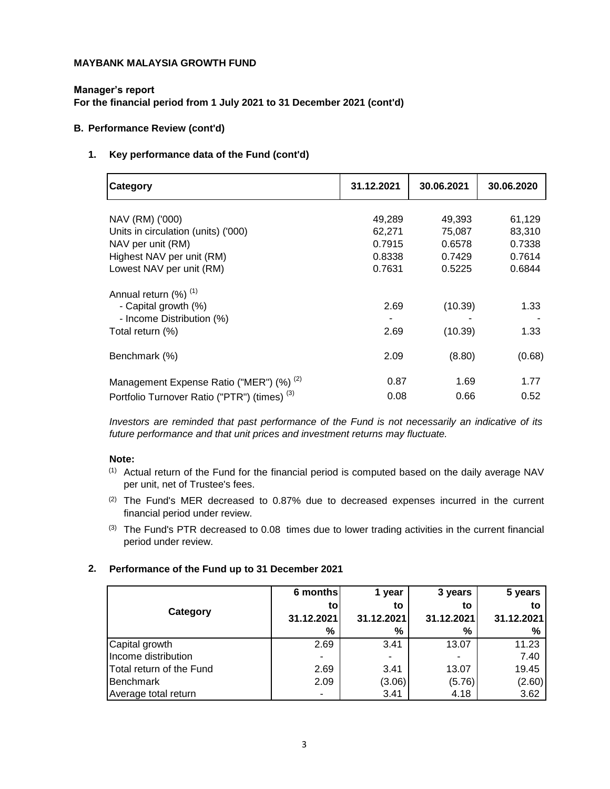**Manager's report**

**For the financial period from 1 July 2021 to 31 December 2021 (cont'd)**

#### **B. Performance Review (cont'd)**

#### **1. Key performance data of the Fund (cont'd)**

| <b>Category</b>                                         | 31.12.2021 | 30.06.2021 | 30.06.2020 |
|---------------------------------------------------------|------------|------------|------------|
|                                                         |            |            |            |
| NAV (RM) ('000)                                         | 49,289     | 49,393     | 61,129     |
| Units in circulation (units) ('000)                     | 62,271     | 75,087     | 83,310     |
| NAV per unit (RM)                                       | 0.7915     | 0.6578     | 0.7338     |
| Highest NAV per unit (RM)                               | 0.8338     | 0.7429     | 0.7614     |
| Lowest NAV per unit (RM)                                | 0.7631     | 0.5225     | 0.6844     |
| Annual return (%) <sup>(1)</sup>                        |            |            |            |
| - Capital growth (%)                                    | 2.69       | (10.39)    | 1.33       |
| - Income Distribution (%)                               |            |            |            |
| Total return (%)                                        | 2.69       | (10.39)    | 1.33       |
| Benchmark (%)                                           | 2.09       | (8.80)     | (0.68)     |
| Management Expense Ratio ("MER") (%) <sup>(2)</sup>     | 0.87       | 1.69       | 1.77       |
| Portfolio Turnover Ratio ("PTR") (times) <sup>(3)</sup> | 0.08       | 0.66       | 0.52       |

*Investors are reminded that past performance of the Fund is not necessarily an indicative of its future performance and that unit prices and investment returns may fluctuate.*

#### **Note:**

- $<sup>(1)</sup>$  Actual return of the Fund for the financial period is computed based on the daily average NAV</sup> per unit, net of Trustee's fees.
- $(2)$  The Fund's MER decreased to 0.87% due to decreased expenses incurred in the current financial period under review.
- $<sup>(3)</sup>$  The Fund's PTR decreased to 0.08 times due to lower trading activities in the current financial</sup> period under review.

#### **2. Performance of the Fund up to 31 December 2021**

|                          | 6 months       | 1 year     | 3 years    | 5 years    |
|--------------------------|----------------|------------|------------|------------|
| Category                 | to             | to         | to         | to         |
|                          | 31.12.2021     | 31.12.2021 | 31.12.2021 | 31.12.2021 |
|                          | %              | %          | %          | %          |
| Capital growth           | 2.69           | 3.41       | 13.07      | 11.23      |
| Income distribution      | $\blacksquare$ |            |            | 7.40       |
| Total return of the Fund | 2.69           | 3.41       | 13.07      | 19.45      |
| Benchmark                | 2.09           | (3.06)     | (5.76)     | (2.60)     |
| Average total return     | $\blacksquare$ | 3.41       | 4.18       | 3.62       |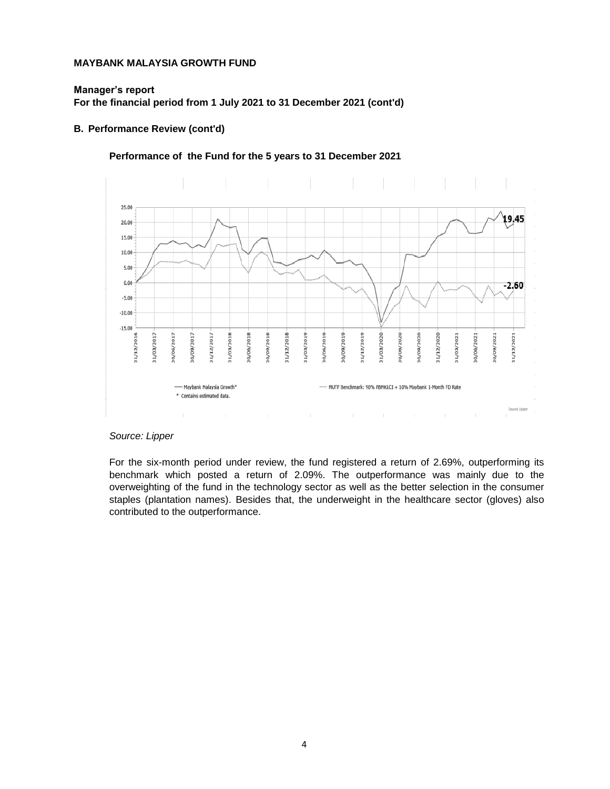#### **Manager's report**

**For the financial period from 1 July 2021 to 31 December 2021 (cont'd)**

#### **B. Performance Review (cont'd)**

#### **Performance of the Fund for the 5 years to 31 December 2021**



#### *Source: Lipper*

For the six-month period under review, the fund registered a return of 2.69%, outperforming its benchmark which posted a return of 2.09%. The outperformance was mainly due to the overweighting of the fund in the technology sector as well as the better selection in the consumer staples (plantation names). Besides that, the underweight in the healthcare sector (gloves) also contributed to the outperformance.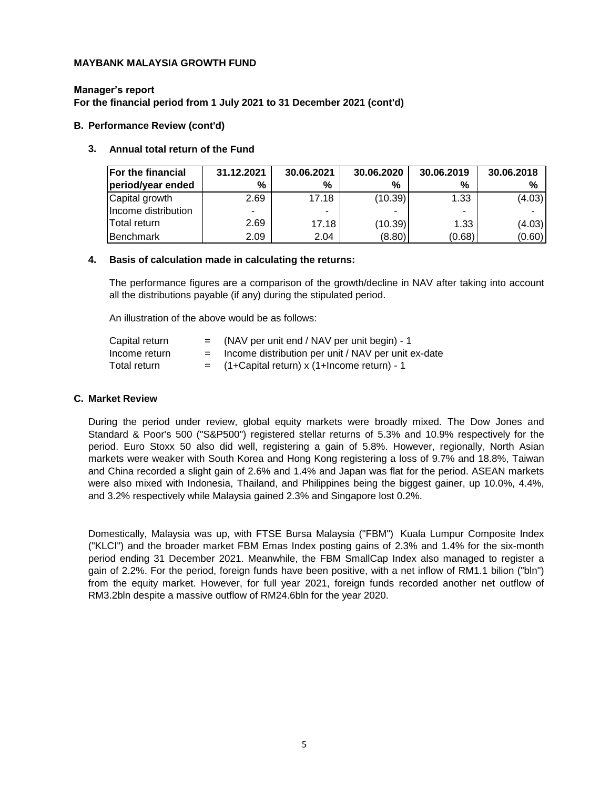#### **Manager's report**

**For the financial period from 1 July 2021 to 31 December 2021 (cont'd)**

#### **B. Performance Review (cont'd)**

#### **3. Annual total return of the Fund**

| <b>For the financial</b> | 31.12.2021 | 30.06.2021 | 30.06.2020 | 30.06.2019     | 30.06.2018 |
|--------------------------|------------|------------|------------|----------------|------------|
| period/year ended        | %          | %          | %          | %              | %          |
| Capital growth           | 2.69       | 17.18      | (10.39)    | 1.33           | (4.03)     |
| Income distribution      |            | -          |            | $\blacksquare$ |            |
| Total return             | 2.69       | 17.18      | (10.39)    | 1.33           | (4.03)     |
| <b>IBenchmark</b>        | 2.09       | 2.04       | (8.80)     | (0.68)         | (0.60)     |

#### **4. Basis of calculation made in calculating the returns:**

The performance figures are a comparison of the growth/decline in NAV after taking into account all the distributions payable (if any) during the stipulated period.

An illustration of the above would be as follows:

| Capital return |     | (NAV per unit end / NAV per unit begin) - 1         |
|----------------|-----|-----------------------------------------------------|
| Income return  | $=$ | Income distribution per unit / NAV per unit ex-date |
| Total return   |     | (1+Capital return) x (1+Income return) - 1          |

#### **C. Market Review**

During the period under review, global equity markets were broadly mixed. The Dow Jones and Standard & Poor's 500 ("S&P500") registered stellar returns of 5.3% and 10.9% respectively for the period. Euro Stoxx 50 also did well, registering a gain of 5.8%. However, regionally, North Asian markets were weaker with South Korea and Hong Kong registering a loss of 9.7% and 18.8%, Taiwan and China recorded a slight gain of 2.6% and 1.4% and Japan was flat for the period. ASEAN markets were also mixed with Indonesia, Thailand, and Philippines being the biggest gainer, up 10.0%, 4.4%, and 3.2% respectively while Malaysia gained 2.3% and Singapore lost 0.2%.

Domestically, Malaysia was up, with FTSE Bursa Malaysia ("FBM") Kuala Lumpur Composite Index ("KLCI") and the broader market FBM Emas Index posting gains of 2.3% and 1.4% for the six-month period ending 31 December 2021. Meanwhile, the FBM SmallCap Index also managed to register a gain of 2.2%. For the period, foreign funds have been positive, with a net inflow of RM1.1 bilion ("bln") from the equity market. However, for full year 2021, foreign funds recorded another net outflow of RM3.2bln despite a massive outflow of RM24.6bln for the year 2020.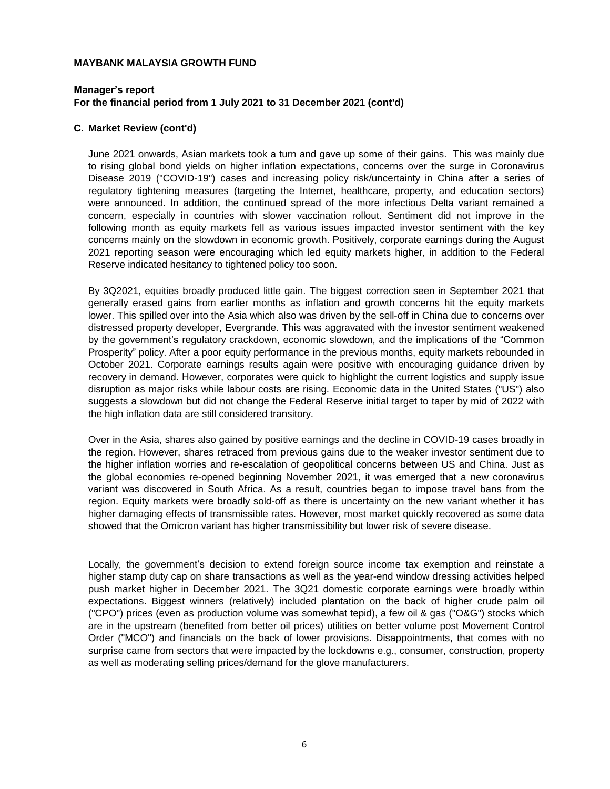#### **Manager's report For the financial period from 1 July 2021 to 31 December 2021 (cont'd)**

#### **C. Market Review (cont'd)**

June 2021 onwards, Asian markets took a turn and gave up some of their gains. This was mainly due to rising global bond yields on higher inflation expectations, concerns over the surge in Coronavirus Disease 2019 ("COVID-19") cases and increasing policy risk/uncertainty in China after a series of regulatory tightening measures (targeting the Internet, healthcare, property, and education sectors) were announced. In addition, the continued spread of the more infectious Delta variant remained a concern, especially in countries with slower vaccination rollout. Sentiment did not improve in the following month as equity markets fell as various issues impacted investor sentiment with the key concerns mainly on the slowdown in economic growth. Positively, corporate earnings during the August 2021 reporting season were encouraging which led equity markets higher, in addition to the Federal Reserve indicated hesitancy to tightened policy too soon.

By 3Q2021, equities broadly produced little gain. The biggest correction seen in September 2021 that generally erased gains from earlier months as inflation and growth concerns hit the equity markets lower. This spilled over into the Asia which also was driven by the sell-off in China due to concerns over distressed property developer, Evergrande. This was aggravated with the investor sentiment weakened by the government's regulatory crackdown, economic slowdown, and the implications of the "Common Prosperity" policy. After a poor equity performance in the previous months, equity markets rebounded in October 2021. Corporate earnings results again were positive with encouraging guidance driven by recovery in demand. However, corporates were quick to highlight the current logistics and supply issue disruption as major risks while labour costs are rising. Economic data in the United States ("US") also suggests a slowdown but did not change the Federal Reserve initial target to taper by mid of 2022 with the high inflation data are still considered transitory.

Over in the Asia, shares also gained by positive earnings and the decline in COVID-19 cases broadly in the region. However, shares retraced from previous gains due to the weaker investor sentiment due to the higher inflation worries and re-escalation of geopolitical concerns between US and China. Just as the global economies re-opened beginning November 2021, it was emerged that a new coronavirus variant was discovered in South Africa. As a result, countries began to impose travel bans from the region. Equity markets were broadly sold-off as there is uncertainty on the new variant whether it has higher damaging effects of transmissible rates. However, most market quickly recovered as some data showed that the Omicron variant has higher transmissibility but lower risk of severe disease.

Locally, the government's decision to extend foreign source income tax exemption and reinstate a higher stamp duty cap on share transactions as well as the year-end window dressing activities helped push market higher in December 2021. The 3Q21 domestic corporate earnings were broadly within expectations. Biggest winners (relatively) included plantation on the back of higher crude palm oil ("CPO") prices (even as production volume was somewhat tepid), a few oil & gas ("O&G") stocks which are in the upstream (benefited from better oil prices) utilities on better volume post Movement Control Order ("MCO") and financials on the back of lower provisions. Disappointments, that comes with no surprise came from sectors that were impacted by the lockdowns e.g., consumer, construction, property as well as moderating selling prices/demand for the glove manufacturers.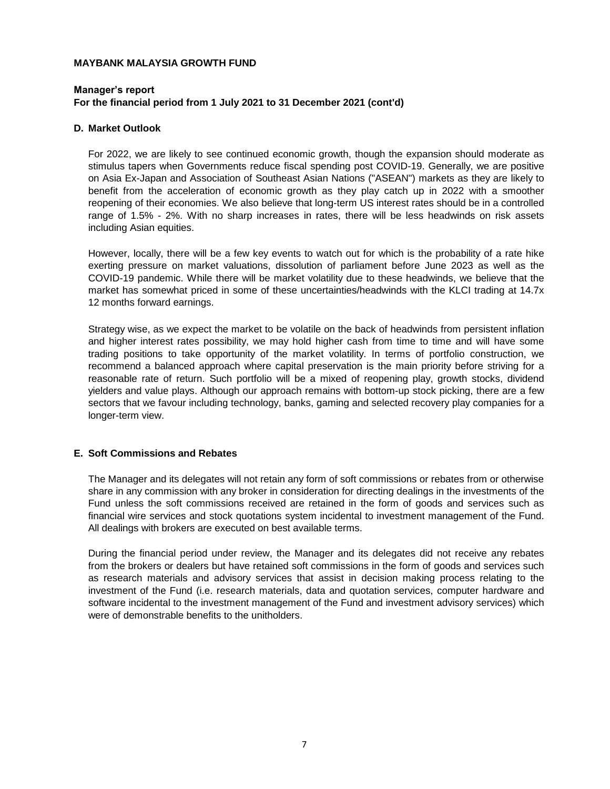#### **Manager's report For the financial period from 1 July 2021 to 31 December 2021 (cont'd)**

#### **D. Market Outlook**

For 2022, we are likely to see continued economic growth, though the expansion should moderate as stimulus tapers when Governments reduce fiscal spending post COVID-19. Generally, we are positive on Asia Ex-Japan and Association of Southeast Asian Nations ("ASEAN") markets as they are likely to benefit from the acceleration of economic growth as they play catch up in 2022 with a smoother reopening of their economies. We also believe that long-term US interest rates should be in a controlled range of 1.5% - 2%. With no sharp increases in rates, there will be less headwinds on risk assets including Asian equities.

However, locally, there will be a few key events to watch out for which is the probability of a rate hike exerting pressure on market valuations, dissolution of parliament before June 2023 as well as the COVID-19 pandemic. While there will be market volatility due to these headwinds, we believe that the market has somewhat priced in some of these uncertainties/headwinds with the KLCI trading at 14.7x 12 months forward earnings.

Strategy wise, as we expect the market to be volatile on the back of headwinds from persistent inflation and higher interest rates possibility, we may hold higher cash from time to time and will have some trading positions to take opportunity of the market volatility. In terms of portfolio construction, we recommend a balanced approach where capital preservation is the main priority before striving for a reasonable rate of return. Such portfolio will be a mixed of reopening play, growth stocks, dividend yielders and value plays. Although our approach remains with bottom-up stock picking, there are a few sectors that we favour including technology, banks, gaming and selected recovery play companies for a longer-term view.

#### **E. Soft Commissions and Rebates**

The Manager and its delegates will not retain any form of soft commissions or rebates from or otherwise share in any commission with any broker in consideration for directing dealings in the investments of the Fund unless the soft commissions received are retained in the form of goods and services such as financial wire services and stock quotations system incidental to investment management of the Fund. All dealings with brokers are executed on best available terms.

During the financial period under review, the Manager and its delegates did not receive any rebates from the brokers or dealers but have retained soft commissions in the form of goods and services such as research materials and advisory services that assist in decision making process relating to the investment of the Fund (i.e. research materials, data and quotation services, computer hardware and software incidental to the investment management of the Fund and investment advisory services) which were of demonstrable benefits to the unitholders.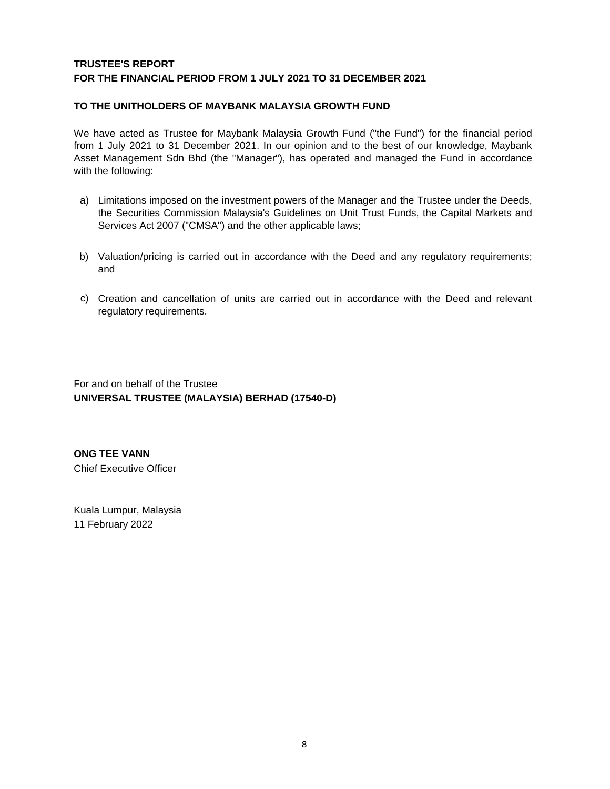# **TRUSTEE'S REPORT FOR THE FINANCIAL PERIOD FROM 1 JULY 2021 TO 31 DECEMBER 2021**

### **TO THE UNITHOLDERS OF MAYBANK MALAYSIA GROWTH FUND**

We have acted as Trustee for Maybank Malaysia Growth Fund ("the Fund") for the financial period from 1 July 2021 to 31 December 2021. In our opinion and to the best of our knowledge, Maybank Asset Management Sdn Bhd (the "Manager"), has operated and managed the Fund in accordance with the following:

- a) Limitations imposed on the investment powers of the Manager and the Trustee under the Deeds, the Securities Commission Malaysia's Guidelines on Unit Trust Funds, the Capital Markets and Services Act 2007 ("CMSA") and the other applicable laws;
- b) Valuation/pricing is carried out in accordance with the Deed and any regulatory requirements; and
- c) Creation and cancellation of units are carried out in accordance with the Deed and relevant regulatory requirements.

For and on behalf of the Trustee **UNIVERSAL TRUSTEE (MALAYSIA) BERHAD (17540-D)**

**ONG TEE VANN** Chief Executive Officer

Kuala Lumpur, Malaysia 11 February 2022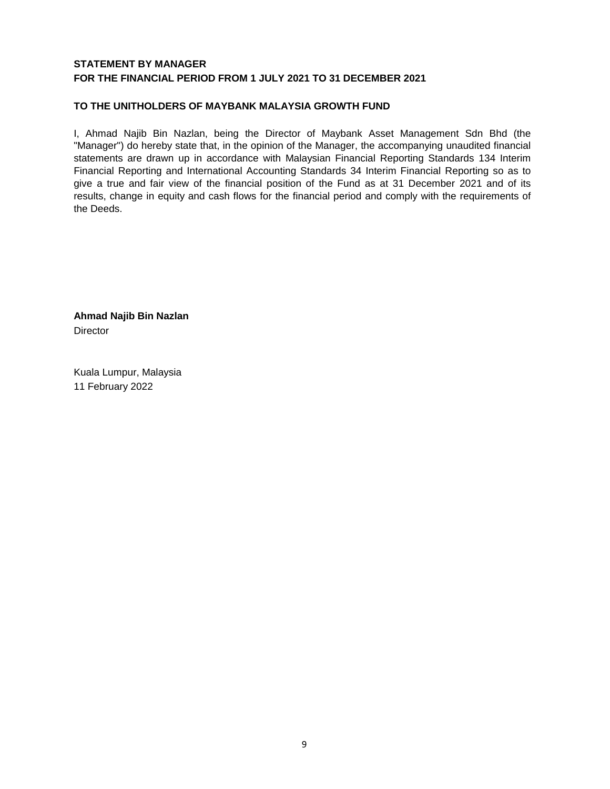# **STATEMENT BY MANAGER FOR THE FINANCIAL PERIOD FROM 1 JULY 2021 TO 31 DECEMBER 2021**

# **TO THE UNITHOLDERS OF MAYBANK MALAYSIA GROWTH FUND**

I, Ahmad Najib Bin Nazlan, being the Director of Maybank Asset Management Sdn Bhd (the "Manager") do hereby state that, in the opinion of the Manager, the accompanying unaudited financial statements are drawn up in accordance with Malaysian Financial Reporting Standards 134 Interim Financial Reporting and International Accounting Standards 34 Interim Financial Reporting so as to give a true and fair view of the financial position of the Fund as at 31 December 2021 and of its results, change in equity and cash flows for the financial period and comply with the requirements of the Deeds.

**Ahmad Najib Bin Nazlan Director** 

Kuala Lumpur, Malaysia 11 February 2022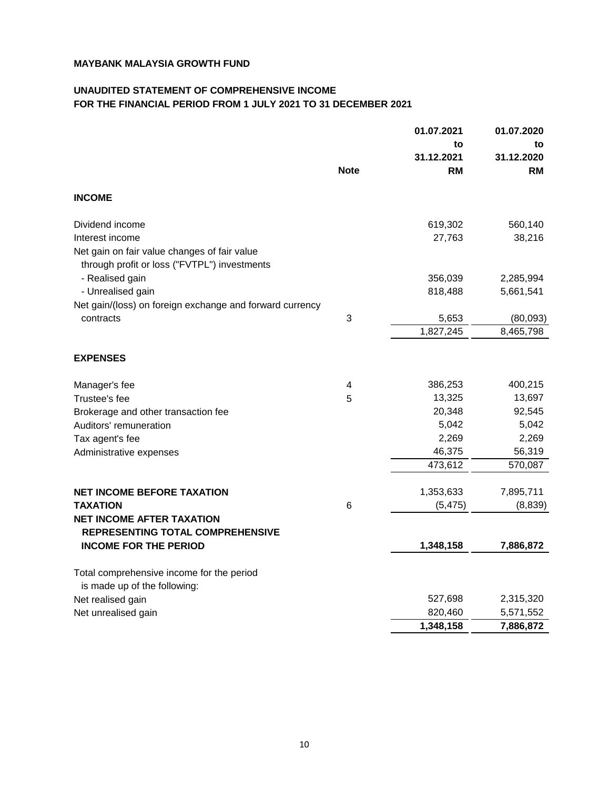# **UNAUDITED STATEMENT OF COMPREHENSIVE INCOME FOR THE FINANCIAL PERIOD FROM 1 JULY 2021 TO 31 DECEMBER 2021**

|                                                                                              |                         | 01.07.2021 | 01.07.2020 |
|----------------------------------------------------------------------------------------------|-------------------------|------------|------------|
|                                                                                              |                         | to         | to         |
|                                                                                              |                         | 31.12.2021 | 31.12.2020 |
|                                                                                              | <b>Note</b>             | <b>RM</b>  | RM         |
| <b>INCOME</b>                                                                                |                         |            |            |
| Dividend income                                                                              |                         | 619,302    | 560,140    |
| Interest income                                                                              |                         | 27,763     | 38,216     |
| Net gain on fair value changes of fair value<br>through profit or loss ("FVTPL") investments |                         |            |            |
| - Realised gain                                                                              |                         | 356,039    | 2,285,994  |
| - Unrealised gain                                                                            |                         | 818,488    | 5,661,541  |
| Net gain/(loss) on foreign exchange and forward currency                                     |                         |            |            |
| contracts                                                                                    | $\mathbf{3}$            | 5,653      | (80,093)   |
|                                                                                              |                         | 1,827,245  | 8,465,798  |
| <b>EXPENSES</b>                                                                              |                         |            |            |
| Manager's fee                                                                                | $\overline{\mathbf{4}}$ | 386,253    | 400,215    |
| Trustee's fee                                                                                | 5                       | 13,325     | 13,697     |
| Brokerage and other transaction fee                                                          |                         | 20,348     | 92,545     |
| Auditors' remuneration                                                                       |                         | 5,042      | 5,042      |
| Tax agent's fee                                                                              |                         | 2,269      | 2,269      |
| Administrative expenses                                                                      |                         | 46,375     | 56,319     |
|                                                                                              |                         | 473,612    | 570,087    |
| <b>NET INCOME BEFORE TAXATION</b>                                                            |                         | 1,353,633  | 7,895,711  |
| <b>TAXATION</b>                                                                              | 6                       | (5, 475)   | (8,839)    |
| <b>NET INCOME AFTER TAXATION</b><br><b>REPRESENTING TOTAL COMPREHENSIVE</b>                  |                         |            |            |
| <b>INCOME FOR THE PERIOD</b>                                                                 |                         | 1,348,158  | 7,886,872  |
| Total comprehensive income for the period<br>is made up of the following:                    |                         |            |            |
| Net realised gain                                                                            |                         | 527,698    | 2,315,320  |
| Net unrealised gain                                                                          |                         | 820,460    | 5,571,552  |
|                                                                                              |                         | 1,348,158  | 7,886,872  |
|                                                                                              |                         |            |            |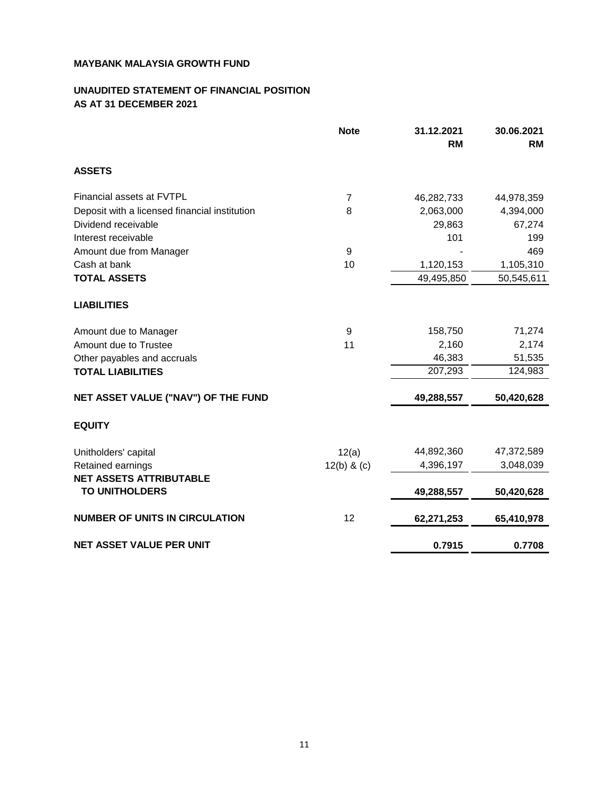# **UNAUDITED STATEMENT OF FINANCIAL POSITION AS AT 31 DECEMBER 2021**

|                                               | <b>Note</b>    | 31.12.2021 | 30.06.2021 |
|-----------------------------------------------|----------------|------------|------------|
|                                               |                | <b>RM</b>  | <b>RM</b>  |
| <b>ASSETS</b>                                 |                |            |            |
| Financial assets at FVTPL                     | $\overline{7}$ | 46,282,733 | 44,978,359 |
| Deposit with a licensed financial institution | 8              | 2,063,000  | 4,394,000  |
| Dividend receivable                           |                | 29,863     | 67,274     |
| Interest receivable                           |                | 101        | 199        |
| Amount due from Manager                       | $\overline{9}$ |            | 469        |
| Cash at bank                                  | 10             | 1,120,153  | 1,105,310  |
| <b>TOTAL ASSETS</b>                           |                | 49,495,850 | 50,545,611 |
| <b>LIABILITIES</b>                            |                |            |            |
| Amount due to Manager                         | $\overline{9}$ | 158,750    | 71,274     |
| Amount due to Trustee                         | 11             | 2,160      | 2,174      |
| Other payables and accruals                   |                | 46,383     | 51,535     |
| <b>TOTAL LIABILITIES</b>                      |                | 207,293    | 124,983    |
| NET ASSET VALUE ("NAV") OF THE FUND           |                | 49,288,557 | 50,420,628 |
| <b>EQUITY</b>                                 |                |            |            |
| Unitholders' capital                          | 12(a)          | 44,892,360 | 47,372,589 |
| Retained earnings                             | $12(b)$ & (c)  | 4,396,197  | 3,048,039  |
| <b>NET ASSETS ATTRIBUTABLE</b>                |                |            |            |
| <b>TO UNITHOLDERS</b>                         |                | 49,288,557 | 50,420,628 |
| <b>NUMBER OF UNITS IN CIRCULATION</b>         | 12             | 62,271,253 | 65,410,978 |
| <b>NET ASSET VALUE PER UNIT</b>               |                | 0.7915     | 0.7708     |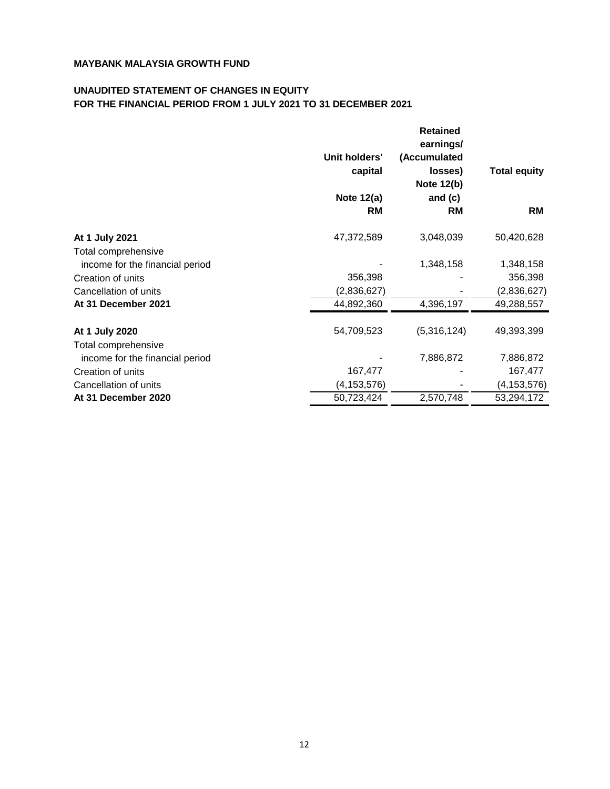# **UNAUDITED STATEMENT OF CHANGES IN EQUITY FOR THE FINANCIAL PERIOD FROM 1 JULY 2021 TO 31 DECEMBER 2021**

|                                 |               | <b>Retained</b>   |                     |
|---------------------------------|---------------|-------------------|---------------------|
|                                 |               | earnings/         |                     |
|                                 | Unit holders' | (Accumulated      |                     |
|                                 | capital       | losses)           | <b>Total equity</b> |
|                                 |               | <b>Note 12(b)</b> |                     |
|                                 | Note 12(a)    | and $(c)$         |                     |
|                                 | <b>RM</b>     | <b>RM</b>         | <b>RM</b>           |
| At 1 July 2021                  | 47,372,589    | 3,048,039         | 50,420,628          |
| Total comprehensive             |               |                   |                     |
| income for the financial period |               | 1,348,158         | 1,348,158           |
| Creation of units               | 356,398       |                   | 356,398             |
| Cancellation of units           | (2,836,627)   |                   | (2,836,627)         |
| At 31 December 2021             | 44,892,360    | 4,396,197         | 49,288,557          |
| At 1 July 2020                  | 54,709,523    | (5,316,124)       | 49,393,399          |
| Total comprehensive             |               |                   |                     |
| income for the financial period |               | 7,886,872         | 7,886,872           |
| Creation of units               | 167,477       |                   | 167,477             |
| Cancellation of units           | (4, 153, 576) |                   | (4, 153, 576)       |
| At 31 December 2020             | 50,723,424    | 2,570,748         | 53,294,172          |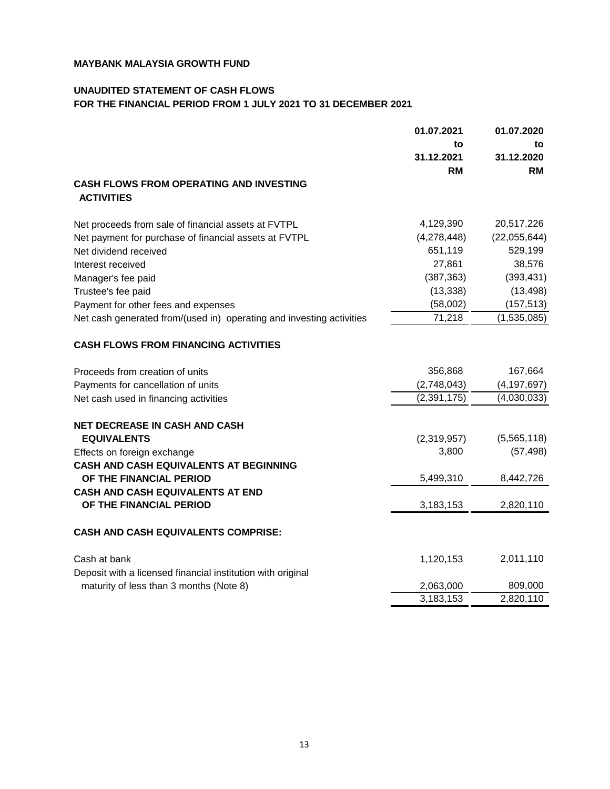# **UNAUDITED STATEMENT OF CASH FLOWS FOR THE FINANCIAL PERIOD FROM 1 JULY 2021 TO 31 DECEMBER 2021**

|                                                                      | 01.07.2021    | 01.07.2020    |  |
|----------------------------------------------------------------------|---------------|---------------|--|
|                                                                      | to            | to            |  |
|                                                                      | 31.12.2021    | 31.12.2020    |  |
|                                                                      | <b>RM</b>     | RM            |  |
| <b>CASH FLOWS FROM OPERATING AND INVESTING</b><br><b>ACTIVITIES</b>  |               |               |  |
| Net proceeds from sale of financial assets at FVTPL                  | 4,129,390     | 20,517,226    |  |
| Net payment for purchase of financial assets at FVTPL                | (4,278,448)   | (22,055,644)  |  |
| Net dividend received                                                | 651,119       | 529,199       |  |
| Interest received                                                    | 27,861        | 38,576        |  |
| Manager's fee paid                                                   | (387, 363)    | (393, 431)    |  |
| Trustee's fee paid                                                   | (13, 338)     | (13, 498)     |  |
| Payment for other fees and expenses                                  | (58,002)      | (157, 513)    |  |
| Net cash generated from/(used in) operating and investing activities | 71,218        | (1,535,085)   |  |
| <b>CASH FLOWS FROM FINANCING ACTIVITIES</b>                          |               |               |  |
| Proceeds from creation of units                                      | 356,868       | 167,664       |  |
| Payments for cancellation of units                                   | (2,748,043)   | (4, 197, 697) |  |
| Net cash used in financing activities                                | (2, 391, 175) | (4,030,033)   |  |
| <b>NET DECREASE IN CASH AND CASH</b>                                 |               |               |  |
| <b>EQUIVALENTS</b>                                                   | (2,319,957)   | (5,565,118)   |  |
| Effects on foreign exchange                                          | 3,800         | (57, 498)     |  |
| <b>CASH AND CASH EQUIVALENTS AT BEGINNING</b>                        |               |               |  |
| OF THE FINANCIAL PERIOD                                              | 5,499,310     | 8,442,726     |  |
| <b>CASH AND CASH EQUIVALENTS AT END</b>                              |               |               |  |
| OF THE FINANCIAL PERIOD                                              | 3,183,153     | 2,820,110     |  |
| <b>CASH AND CASH EQUIVALENTS COMPRISE:</b>                           |               |               |  |
| Cash at bank                                                         | 1,120,153     | 2,011,110     |  |
| Deposit with a licensed financial institution with original          |               |               |  |
| maturity of less than 3 months (Note 8)                              | 2,063,000     | 809,000       |  |
|                                                                      | 3,183,153     | 2,820,110     |  |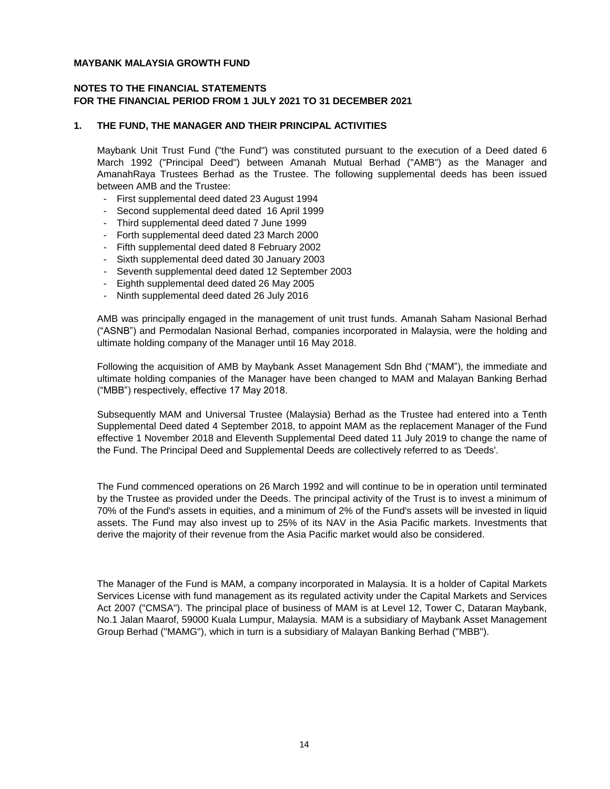#### **NOTES TO THE FINANCIAL STATEMENTS FOR THE FINANCIAL PERIOD FROM 1 JULY 2021 TO 31 DECEMBER 2021**

#### **1. THE FUND, THE MANAGER AND THEIR PRINCIPAL ACTIVITIES**

Maybank Unit Trust Fund ("the Fund") was constituted pursuant to the execution of a Deed dated 6 March 1992 ("Principal Deed") between Amanah Mutual Berhad ("AMB") as the Manager and AmanahRaya Trustees Berhad as the Trustee. The following supplemental deeds has been issued between AMB and the Trustee:

- First supplemental deed dated 23 August 1994
- Second supplemental deed dated 16 April 1999
- Third supplemental deed dated 7 June 1999
- Forth supplemental deed dated 23 March 2000
- Fifth supplemental deed dated 8 February 2002
- Sixth supplemental deed dated 30 January 2003
- Seventh supplemental deed dated 12 September 2003
- Eighth supplemental deed dated 26 May 2005
- Ninth supplemental deed dated 26 July 2016

AMB was principally engaged in the management of unit trust funds. Amanah Saham Nasional Berhad ("ASNB") and Permodalan Nasional Berhad, companies incorporated in Malaysia, were the holding and ultimate holding company of the Manager until 16 May 2018.

Following the acquisition of AMB by Maybank Asset Management Sdn Bhd ("MAM"), the immediate and ultimate holding companies of the Manager have been changed to MAM and Malayan Banking Berhad ("MBB") respectively, effective 17 May 2018.

Subsequently MAM and Universal Trustee (Malaysia) Berhad as the Trustee had entered into a Tenth Supplemental Deed dated 4 September 2018, to appoint MAM as the replacement Manager of the Fund effective 1 November 2018 and Eleventh Supplemental Deed dated 11 July 2019 to change the name of the Fund. The Principal Deed and Supplemental Deeds are collectively referred to as 'Deeds'.

The Fund commenced operations on 26 March 1992 and will continue to be in operation until terminated by the Trustee as provided under the Deeds. The principal activity of the Trust is to invest a minimum of 70% of the Fund's assets in equities, and a minimum of 2% of the Fund's assets will be invested in liquid assets. The Fund may also invest up to 25% of its NAV in the Asia Pacific markets. Investments that derive the majority of their revenue from the Asia Pacific market would also be considered.

The Manager of the Fund is MAM, a company incorporated in Malaysia. It is a holder of Capital Markets Services License with fund management as its regulated activity under the Capital Markets and Services Act 2007 ("CMSA"). The principal place of business of MAM is at Level 12, Tower C, Dataran Maybank, No.1 Jalan Maarof, 59000 Kuala Lumpur, Malaysia. MAM is a subsidiary of Maybank Asset Management Group Berhad ("MAMG"), which in turn is a subsidiary of Malayan Banking Berhad ("MBB").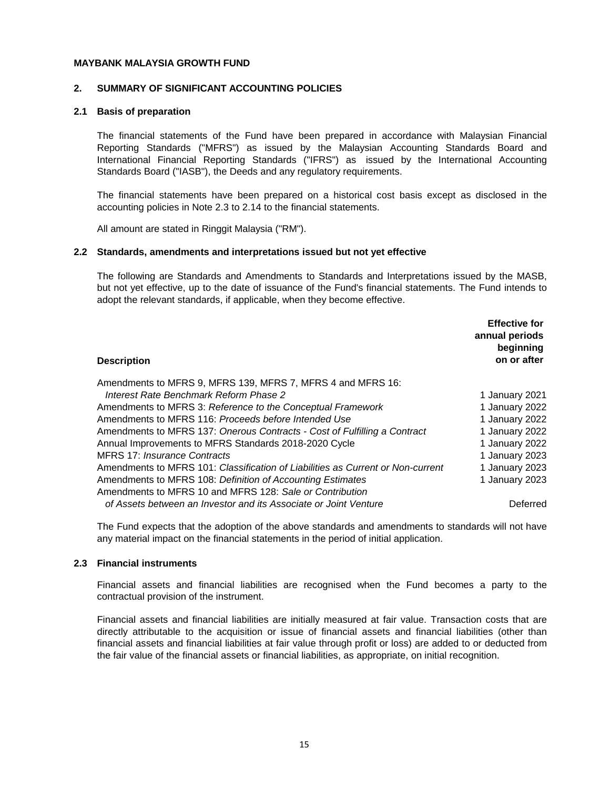#### **2. SUMMARY OF SIGNIFICANT ACCOUNTING POLICIES**

#### **2.1 Basis of preparation**

The financial statements of the Fund have been prepared in accordance with Malaysian Financial Reporting Standards ("MFRS") as issued by the Malaysian Accounting Standards Board and International Financial Reporting Standards ("IFRS") as issued by the International Accounting Standards Board ("IASB"), the Deeds and any regulatory requirements.

The financial statements have been prepared on a historical cost basis except as disclosed in the accounting policies in Note 2.3 to 2.14 to the financial statements.

All amount are stated in Ringgit Malaysia ("RM").

#### **2.2 Standards, amendments and interpretations issued but not yet effective**

The following are Standards and Amendments to Standards and Interpretations issued by the MASB, but not yet effective, up to the date of issuance of the Fund's financial statements. The Fund intends to adopt the relevant standards, if applicable, when they become effective.

| <b>Description</b>                                                              | <b>Effective for</b><br>annual periods<br>beginning<br>on or after |
|---------------------------------------------------------------------------------|--------------------------------------------------------------------|
| Amendments to MFRS 9, MFRS 139, MFRS 7, MFRS 4 and MFRS 16:                     |                                                                    |
| Interest Rate Benchmark Reform Phase 2                                          | 1 January 2021                                                     |
| Amendments to MFRS 3: Reference to the Conceptual Framework                     | 1 January 2022                                                     |
| Amendments to MFRS 116: Proceeds before Intended Use                            | 1 January 2022                                                     |
| Amendments to MFRS 137: Onerous Contracts - Cost of Fulfilling a Contract       | 1 January 2022                                                     |
| Annual Improvements to MFRS Standards 2018-2020 Cycle                           | 1 January 2022                                                     |
| MFRS 17: Insurance Contracts                                                    | 1 January 2023                                                     |
| Amendments to MFRS 101: Classification of Liabilities as Current or Non-current | 1 January 2023                                                     |
| Amendments to MFRS 108: Definition of Accounting Estimates                      | 1 January 2023                                                     |
| Amendments to MFRS 10 and MFRS 128: Sale or Contribution                        |                                                                    |
| of Assets between an Investor and its Associate or Joint Venture                | Deferred                                                           |

The Fund expects that the adoption of the above standards and amendments to standards will not have any material impact on the financial statements in the period of initial application.

#### **2.3 Financial instruments**

Financial assets and financial liabilities are recognised when the Fund becomes a party to the contractual provision of the instrument.

Financial assets and financial liabilities are initially measured at fair value. Transaction costs that are directly attributable to the acquisition or issue of financial assets and financial liabilities (other than financial assets and financial liabilities at fair value through profit or loss) are added to or deducted from the fair value of the financial assets or financial liabilities, as appropriate, on initial recognition.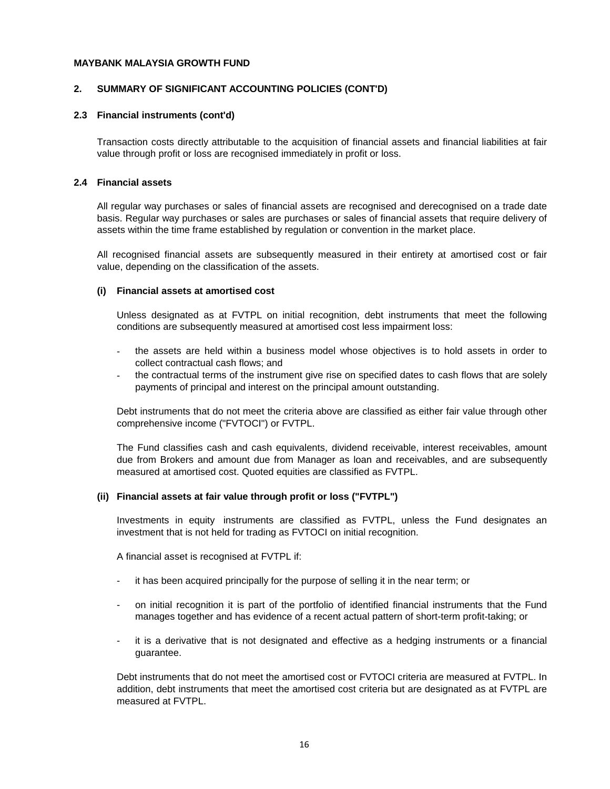#### **2. SUMMARY OF SIGNIFICANT ACCOUNTING POLICIES (CONT'D)**

#### **2.3 Financial instruments (cont'd)**

Transaction costs directly attributable to the acquisition of financial assets and financial liabilities at fair value through profit or loss are recognised immediately in profit or loss.

#### **2.4 Financial assets**

All regular way purchases or sales of financial assets are recognised and derecognised on a trade date basis. Regular way purchases or sales are purchases or sales of financial assets that require delivery of assets within the time frame established by regulation or convention in the market place.

All recognised financial assets are subsequently measured in their entirety at amortised cost or fair value, depending on the classification of the assets.

#### **(i) Financial assets at amortised cost**

Unless designated as at FVTPL on initial recognition, debt instruments that meet the following conditions are subsequently measured at amortised cost less impairment loss:

- the assets are held within a business model whose objectives is to hold assets in order to collect contractual cash flows; and
- the contractual terms of the instrument give rise on specified dates to cash flows that are solely payments of principal and interest on the principal amount outstanding.

Debt instruments that do not meet the criteria above are classified as either fair value through other comprehensive income ("FVTOCI") or FVTPL.

The Fund classifies cash and cash equivalents, dividend receivable, interest receivables, amount due from Brokers and amount due from Manager as loan and receivables, and are subsequently measured at amortised cost. Quoted equities are classified as FVTPL.

#### **(ii) Financial assets at fair value through profit or loss ("FVTPL")**

Investments in equity instruments are classified as FVTPL, unless the Fund designates an investment that is not held for trading as FVTOCI on initial recognition.

A financial asset is recognised at FVTPL if:

- it has been acquired principally for the purpose of selling it in the near term; or
- on initial recognition it is part of the portfolio of identified financial instruments that the Fund manages together and has evidence of a recent actual pattern of short-term profit-taking; or
- it is a derivative that is not designated and effective as a hedging instruments or a financial guarantee.

Debt instruments that do not meet the amortised cost or FVTOCI criteria are measured at FVTPL. In addition, debt instruments that meet the amortised cost criteria but are designated as at FVTPL are measured at FVTPL.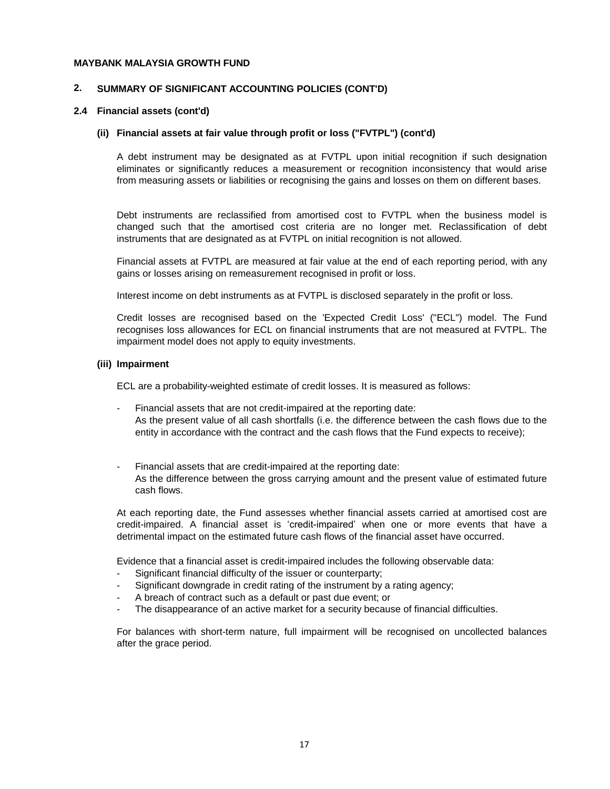#### **2. SUMMARY OF SIGNIFICANT ACCOUNTING POLICIES (CONT'D)**

#### **2.4 Financial assets (cont'd)**

#### **(ii) Financial assets at fair value through profit or loss ("FVTPL") (cont'd)**

A debt instrument may be designated as at FVTPL upon initial recognition if such designation eliminates or significantly reduces a measurement or recognition inconsistency that would arise from measuring assets or liabilities or recognising the gains and losses on them on different bases.

Debt instruments are reclassified from amortised cost to FVTPL when the business model is changed such that the amortised cost criteria are no longer met. Reclassification of debt instruments that are designated as at FVTPL on initial recognition is not allowed.

Financial assets at FVTPL are measured at fair value at the end of each reporting period, with any gains or losses arising on remeasurement recognised in profit or loss.

Interest income on debt instruments as at FVTPL is disclosed separately in the profit or loss.

Credit losses are recognised based on the 'Expected Credit Loss' ("ECL") model. The Fund recognises loss allowances for ECL on financial instruments that are not measured at FVTPL. The impairment model does not apply to equity investments.

#### **(iii) Impairment**

ECL are a probability-weighted estimate of credit losses. It is measured as follows:

- Financial assets that are not credit-impaired at the reporting date: As the present value of all cash shortfalls (i.e. the difference between the cash flows due to the entity in accordance with the contract and the cash flows that the Fund expects to receive);
- Financial assets that are credit-impaired at the reporting date: As the difference between the gross carrying amount and the present value of estimated future cash flows.

At each reporting date, the Fund assesses whether financial assets carried at amortised cost are credit-impaired. A financial asset is 'credit-impaired' when one or more events that have a detrimental impact on the estimated future cash flows of the financial asset have occurred.

Evidence that a financial asset is credit-impaired includes the following observable data:

- Significant financial difficulty of the issuer or counterparty:
- Significant downgrade in credit rating of the instrument by a rating agency;
- A breach of contract such as a default or past due event; or
- The disappearance of an active market for a security because of financial difficulties.

For balances with short-term nature, full impairment will be recognised on uncollected balances after the grace period.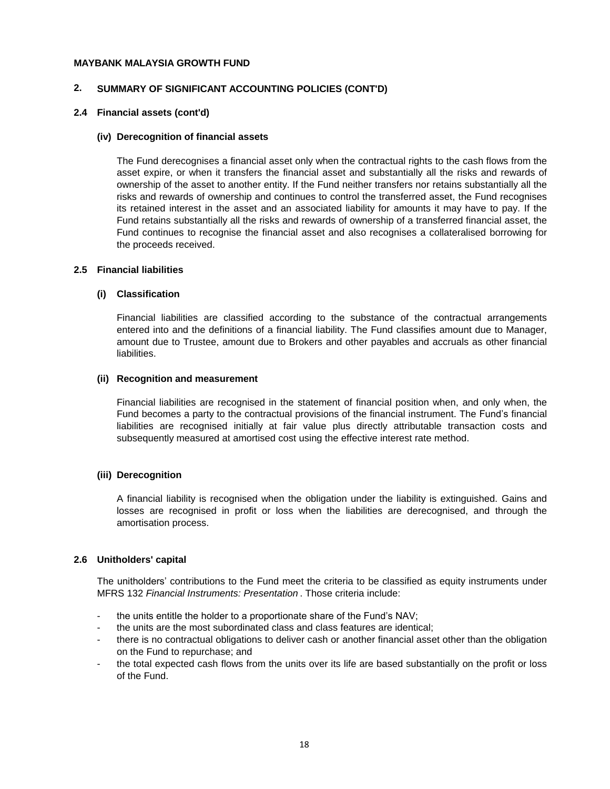#### **2. SUMMARY OF SIGNIFICANT ACCOUNTING POLICIES (CONT'D)**

#### **2.4 Financial assets (cont'd)**

#### **(iv) Derecognition of financial assets**

The Fund derecognises a financial asset only when the contractual rights to the cash flows from the asset expire, or when it transfers the financial asset and substantially all the risks and rewards of ownership of the asset to another entity. If the Fund neither transfers nor retains substantially all the risks and rewards of ownership and continues to control the transferred asset, the Fund recognises its retained interest in the asset and an associated liability for amounts it may have to pay. If the Fund retains substantially all the risks and rewards of ownership of a transferred financial asset, the Fund continues to recognise the financial asset and also recognises a collateralised borrowing for the proceeds received.

#### **2.5 Financial liabilities**

#### **(i) Classification**

Financial liabilities are classified according to the substance of the contractual arrangements entered into and the definitions of a financial liability. The Fund classifies amount due to Manager, amount due to Trustee, amount due to Brokers and other payables and accruals as other financial liabilities.

#### **(ii) Recognition and measurement**

Financial liabilities are recognised in the statement of financial position when, and only when, the Fund becomes a party to the contractual provisions of the financial instrument. The Fund's financial liabilities are recognised initially at fair value plus directly attributable transaction costs and subsequently measured at amortised cost using the effective interest rate method.

#### **(iii) Derecognition**

A financial liability is recognised when the obligation under the liability is extinguished. Gains and losses are recognised in profit or loss when the liabilities are derecognised, and through the amortisation process.

#### **2.6 Unitholders' capital**

The unitholders' contributions to the Fund meet the criteria to be classified as equity instruments under MFRS 132 *Financial Instruments: Presentation* . Those criteria include:

- the units entitle the holder to a proportionate share of the Fund's NAV;
- the units are the most subordinated class and class features are identical;
- there is no contractual obligations to deliver cash or another financial asset other than the obligation on the Fund to repurchase; and
- the total expected cash flows from the units over its life are based substantially on the profit or loss of the Fund.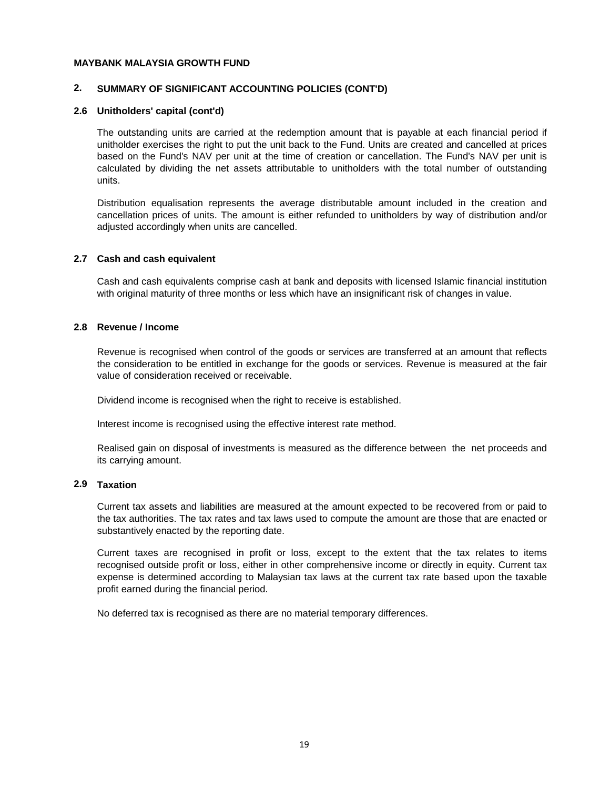#### **2. SUMMARY OF SIGNIFICANT ACCOUNTING POLICIES (CONT'D)**

#### **2.6 Unitholders' capital (cont'd)**

The outstanding units are carried at the redemption amount that is payable at each financial period if unitholder exercises the right to put the unit back to the Fund. Units are created and cancelled at prices based on the Fund's NAV per unit at the time of creation or cancellation. The Fund's NAV per unit is calculated by dividing the net assets attributable to unitholders with the total number of outstanding units.

Distribution equalisation represents the average distributable amount included in the creation and cancellation prices of units. The amount is either refunded to unitholders by way of distribution and/or adjusted accordingly when units are cancelled.

#### **2.7 Cash and cash equivalent**

Cash and cash equivalents comprise cash at bank and deposits with licensed Islamic financial institution with original maturity of three months or less which have an insignificant risk of changes in value.

#### **2.8 Revenue / Income**

Revenue is recognised when control of the goods or services are transferred at an amount that reflects the consideration to be entitled in exchange for the goods or services. Revenue is measured at the fair value of consideration received or receivable.

Dividend income is recognised when the right to receive is established.

Interest income is recognised using the effective interest rate method.

Realised gain on disposal of investments is measured as the difference between the net proceeds and its carrying amount.

#### **2.9 Taxation**

Current tax assets and liabilities are measured at the amount expected to be recovered from or paid to the tax authorities. The tax rates and tax laws used to compute the amount are those that are enacted or substantively enacted by the reporting date.

Current taxes are recognised in profit or loss, except to the extent that the tax relates to items recognised outside profit or loss, either in other comprehensive income or directly in equity. Current tax expense is determined according to Malaysian tax laws at the current tax rate based upon the taxable profit earned during the financial period.

No deferred tax is recognised as there are no material temporary differences.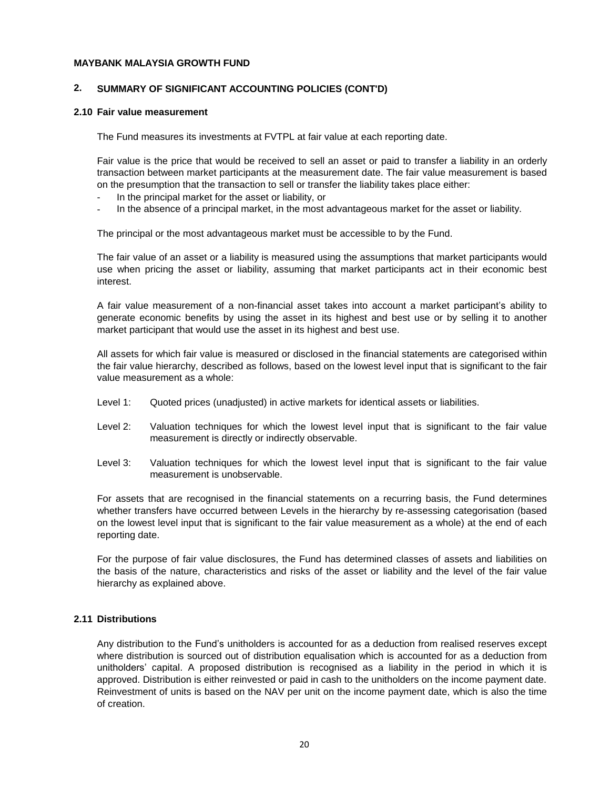#### **2. SUMMARY OF SIGNIFICANT ACCOUNTING POLICIES (CONT'D)**

#### **2.10 Fair value measurement**

The Fund measures its investments at FVTPL at fair value at each reporting date.

Fair value is the price that would be received to sell an asset or paid to transfer a liability in an orderly transaction between market participants at the measurement date. The fair value measurement is based on the presumption that the transaction to sell or transfer the liability takes place either:

- In the principal market for the asset or liability, or
- In the absence of a principal market, in the most advantageous market for the asset or liability.

The principal or the most advantageous market must be accessible to by the Fund.

The fair value of an asset or a liability is measured using the assumptions that market participants would use when pricing the asset or liability, assuming that market participants act in their economic best interest.

A fair value measurement of a non-financial asset takes into account a market participant's ability to generate economic benefits by using the asset in its highest and best use or by selling it to another market participant that would use the asset in its highest and best use.

All assets for which fair value is measured or disclosed in the financial statements are categorised within the fair value hierarchy, described as follows, based on the lowest level input that is significant to the fair value measurement as a whole:

- Level 1: Quoted prices (unadjusted) in active markets for identical assets or liabilities.
- Level 2: Valuation techniques for which the lowest level input that is significant to the fair value measurement is directly or indirectly observable.
- Level 3: Valuation techniques for which the lowest level input that is significant to the fair value measurement is unobservable.

For assets that are recognised in the financial statements on a recurring basis, the Fund determines whether transfers have occurred between Levels in the hierarchy by re-assessing categorisation (based on the lowest level input that is significant to the fair value measurement as a whole) at the end of each reporting date.

For the purpose of fair value disclosures, the Fund has determined classes of assets and liabilities on the basis of the nature, characteristics and risks of the asset or liability and the level of the fair value hierarchy as explained above.

### **2.11 Distributions**

Any distribution to the Fund's unitholders is accounted for as a deduction from realised reserves except where distribution is sourced out of distribution equalisation which is accounted for as a deduction from unitholders' capital. A proposed distribution is recognised as a liability in the period in which it is approved. Distribution is either reinvested or paid in cash to the unitholders on the income payment date. Reinvestment of units is based on the NAV per unit on the income payment date, which is also the time of creation.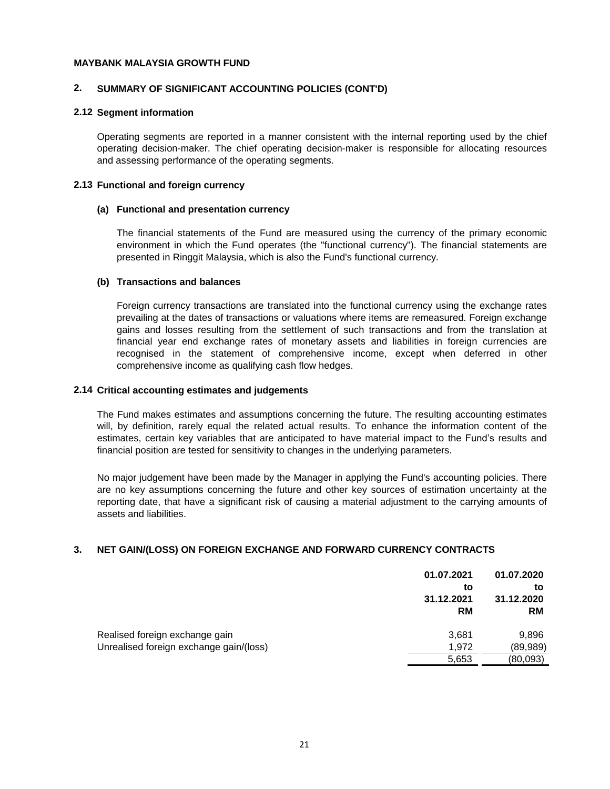#### **2. SUMMARY OF SIGNIFICANT ACCOUNTING POLICIES (CONT'D)**

#### **2.12 Segment information**

Operating segments are reported in a manner consistent with the internal reporting used by the chief operating decision-maker. The chief operating decision-maker is responsible for allocating resources and assessing performance of the operating segments.

#### **2.13 Functional and foreign currency**

#### **(a) Functional and presentation currency**

The financial statements of the Fund are measured using the currency of the primary economic environment in which the Fund operates (the "functional currency"). The financial statements are presented in Ringgit Malaysia, which is also the Fund's functional currency.

#### **(b) Transactions and balances**

Foreign currency transactions are translated into the functional currency using the exchange rates prevailing at the dates of transactions or valuations where items are remeasured. Foreign exchange gains and losses resulting from the settlement of such transactions and from the translation at financial year end exchange rates of monetary assets and liabilities in foreign currencies are recognised in the statement of comprehensive income, except when deferred in other comprehensive income as qualifying cash flow hedges.

#### **2.14 Critical accounting estimates and judgements**

The Fund makes estimates and assumptions concerning the future. The resulting accounting estimates will, by definition, rarely equal the related actual results. To enhance the information content of the estimates, certain key variables that are anticipated to have material impact to the Fund's results and financial position are tested for sensitivity to changes in the underlying parameters.

No major judgement have been made by the Manager in applying the Fund's accounting policies. There are no key assumptions concerning the future and other key sources of estimation uncertainty at the reporting date, that have a significant risk of causing a material adjustment to the carrying amounts of assets and liabilities.

#### **3. NET GAIN/(LOSS) ON FOREIGN EXCHANGE AND FORWARD CURRENCY CONTRACTS**

|                                         | 01.07.2021<br>to<br>31.12.2021<br><b>RM</b> | 01.07.2020<br>to<br>31.12.2020<br><b>RM</b> |
|-----------------------------------------|---------------------------------------------|---------------------------------------------|
| Realised foreign exchange gain          | 3,681                                       | 9,896                                       |
| Unrealised foreign exchange gain/(loss) | 1.972                                       | (89,989)                                    |
|                                         | 5,653                                       | (80,093)                                    |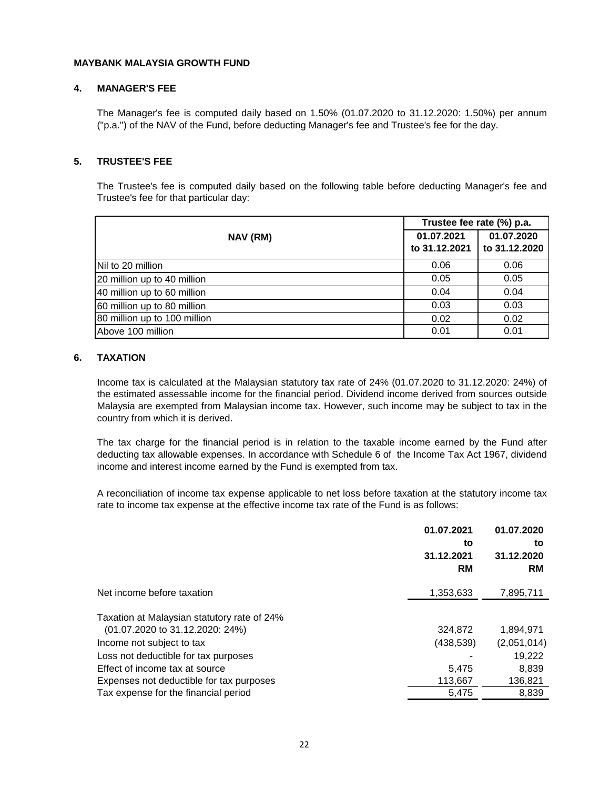#### **4. MANAGER'S FEE**

The Manager's fee is computed daily based on 1.50% (01.07.2020 to 31.12.2020: 1.50%) per annum ("p.a.") of the NAV of the Fund, before deducting Manager's fee and Trustee's fee for the day.

#### **5. TRUSTEE'S FEE**

The Trustee's fee is computed daily based on the following table before deducting Manager's fee and Trustee's fee for that particular day:

|                              | Trustee fee rate (%) p.a.   |                             |  |
|------------------------------|-----------------------------|-----------------------------|--|
| NAV (RM)                     | 01.07.2021<br>to 31.12.2021 | 01.07.2020<br>to 31.12.2020 |  |
| Nil to 20 million            | 0.06                        | 0.06                        |  |
| 20 million up to 40 million  | 0.05                        | 0.05                        |  |
| 40 million up to 60 million  | 0.04                        | 0.04                        |  |
| 60 million up to 80 million  | 0.03                        | 0.03                        |  |
| 80 million up to 100 million | 0.02                        | 0.02                        |  |
| Above 100 million            | 0.01                        | 0.01                        |  |

#### **6. TAXATION**

Income tax is calculated at the Malaysian statutory tax rate of 24% (01.07.2020 to 31.12.2020: 24%) of the estimated assessable income for the financial period. Dividend income derived from sources outside Malaysia are exempted from Malaysian income tax. However, such income may be subject to tax in the country from which it is derived.

The tax charge for the financial period is in relation to the taxable income earned by the Fund after deducting tax allowable expenses. In accordance with Schedule 6 of the Income Tax Act 1967, dividend income and interest income earned by the Fund is exempted from tax.

A reconciliation of income tax expense applicable to net loss before taxation at the statutory income tax rate to income tax expense at the effective income tax rate of the Fund is as follows:

|                                                                                                                                   | 01.07.2021<br>to<br>31.12.2021<br><b>RM</b> | 01.07.2020<br>to<br>31.12.2020<br><b>RM</b> |
|-----------------------------------------------------------------------------------------------------------------------------------|---------------------------------------------|---------------------------------------------|
| Net income before taxation                                                                                                        | 1,353,633                                   | 7,895,711                                   |
| Taxation at Malaysian statutory rate of 24%<br>$(01.07.2020 \text{ to } 31.12.2020 \text{ : } 24\%)$<br>Income not subject to tax | 324,872<br>(438,539)                        | 1,894,971<br>(2,051,014)                    |
| Loss not deductible for tax purposes                                                                                              |                                             | 19,222                                      |
| Effect of income tax at source<br>Expenses not deductible for tax purposes                                                        | 5,475<br>113,667                            | 8,839<br>136,821                            |
| Tax expense for the financial period                                                                                              | 5,475                                       | 8,839                                       |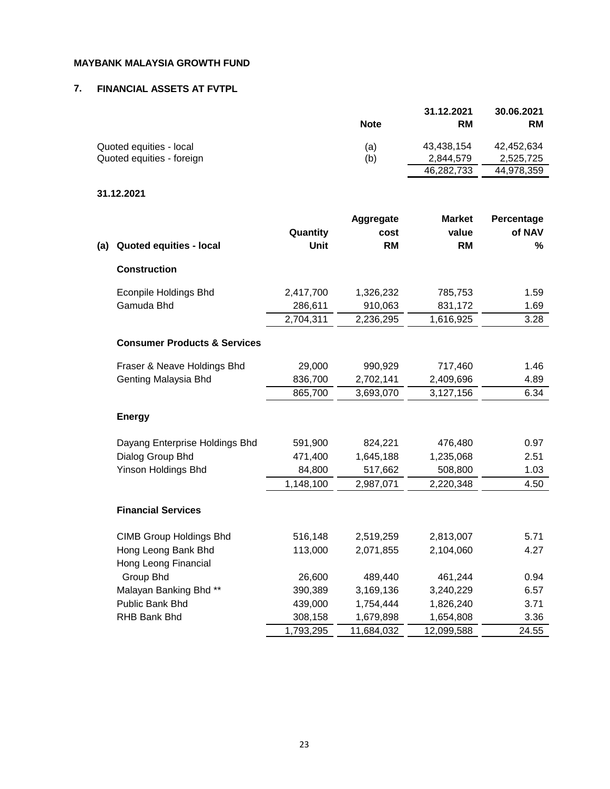### **7. FINANCIAL ASSETS AT FVTPL**

|                           |             | 31.12.2021 | 30.06.2021 |
|---------------------------|-------------|------------|------------|
|                           | <b>Note</b> | <b>RM</b>  | <b>RM</b>  |
| Quoted equities - local   | (a)         | 43,438,154 | 42,452,634 |
| Quoted equities - foreign | (b)         | 2.844.579  | 2,525,725  |
|                           |             | 46,282,733 | 44,978,359 |

# **31.12.2021**

| (a) | <b>Quoted equities - local</b>          | Quantity<br>Unit | Aggregate<br>cost<br><b>RM</b> | <b>Market</b><br>value<br><b>RM</b> | Percentage<br>of NAV<br>% |
|-----|-----------------------------------------|------------------|--------------------------------|-------------------------------------|---------------------------|
|     | <b>Construction</b>                     |                  |                                |                                     |                           |
|     | <b>Econpile Holdings Bhd</b>            | 2,417,700        | 1,326,232                      | 785,753                             | 1.59                      |
|     | Gamuda Bhd                              | 286,611          | 910,063                        | 831,172                             | 1.69                      |
|     |                                         | 2,704,311        | 2,236,295                      | 1,616,925                           | 3.28                      |
|     | <b>Consumer Products &amp; Services</b> |                  |                                |                                     |                           |
|     | Fraser & Neave Holdings Bhd             | 29,000           | 990,929                        | 717,460                             | 1.46                      |
|     | Genting Malaysia Bhd                    | 836,700          | 2,702,141                      | 2,409,696                           | 4.89                      |
|     |                                         | 865,700          | 3,693,070                      | 3,127,156                           | 6.34                      |
|     | <b>Energy</b>                           |                  |                                |                                     |                           |
|     | Dayang Enterprise Holdings Bhd          | 591,900          | 824,221                        | 476,480                             | 0.97                      |
|     | Dialog Group Bhd                        | 471,400          | 1,645,188                      | 1,235,068                           | 2.51                      |
|     | <b>Yinson Holdings Bhd</b>              | 84,800           | 517,662                        | 508,800                             | 1.03                      |
|     |                                         | 1,148,100        | 2,987,071                      | 2,220,348                           | 4.50                      |
|     | <b>Financial Services</b>               |                  |                                |                                     |                           |
|     | <b>CIMB Group Holdings Bhd</b>          | 516,148          | 2,519,259                      | 2,813,007                           | 5.71                      |
|     | Hong Leong Bank Bhd                     | 113,000          | 2,071,855                      | 2,104,060                           | 4.27                      |
|     | Hong Leong Financial                    |                  |                                |                                     |                           |
|     | Group Bhd                               | 26,600           | 489,440                        | 461,244                             | 0.94                      |
|     | Malayan Banking Bhd **                  | 390,389          | 3,169,136                      | 3,240,229                           | 6.57                      |
|     | Public Bank Bhd                         | 439,000          | 1,754,444                      | 1,826,240                           | 3.71                      |
|     | RHB Bank Bhd                            | 308,158          | 1,679,898                      | 1,654,808                           | 3.36                      |
|     |                                         | 1,793,295        | 11,684,032                     | 12,099,588                          | 24.55                     |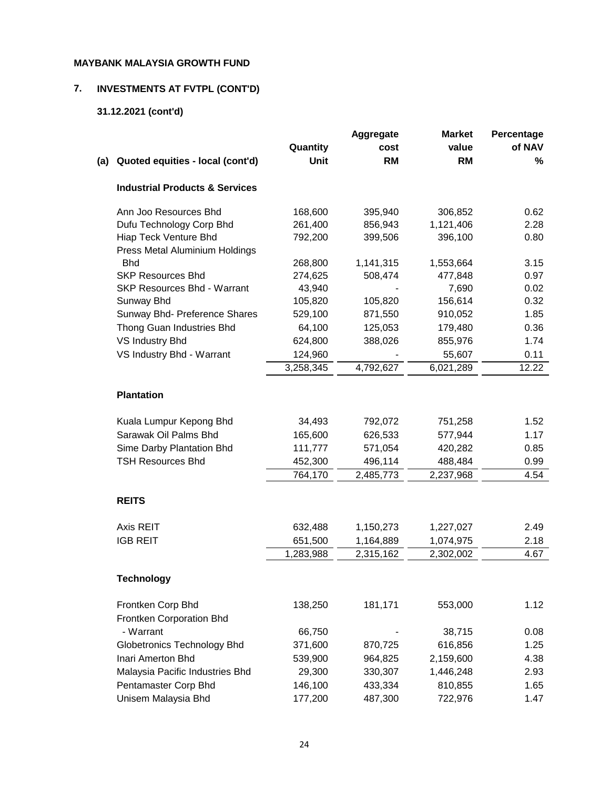# **7. INVESTMENTS AT FVTPL (CONT'D)**

# **31.12.2021 (cont'd)**

|     |                                                         |           | Aggregate | <b>Market</b> | Percentage |
|-----|---------------------------------------------------------|-----------|-----------|---------------|------------|
|     |                                                         | Quantity  | cost      | value         | of NAV     |
| (a) | Quoted equities - local (cont'd)                        | Unit      | <b>RM</b> | <b>RM</b>     | %          |
|     | <b>Industrial Products &amp; Services</b>               |           |           |               |            |
|     | Ann Joo Resources Bhd                                   | 168,600   | 395,940   | 306,852       | 0.62       |
|     | Dufu Technology Corp Bhd                                | 261,400   | 856,943   | 1,121,406     | 2.28       |
|     | Hiap Teck Venture Bhd<br>Press Metal Aluminium Holdings | 792,200   | 399,506   | 396,100       | 0.80       |
|     | <b>Bhd</b>                                              | 268,800   | 1,141,315 | 1,553,664     | 3.15       |
|     | <b>SKP Resources Bhd</b>                                | 274,625   | 508,474   | 477,848       | 0.97       |
|     | <b>SKP Resources Bhd - Warrant</b>                      | 43,940    |           | 7,690         | 0.02       |
|     | Sunway Bhd                                              | 105,820   | 105,820   | 156,614       | 0.32       |
|     | Sunway Bhd- Preference Shares                           | 529,100   | 871,550   | 910,052       | 1.85       |
|     | Thong Guan Industries Bhd                               | 64,100    | 125,053   | 179,480       | 0.36       |
|     | VS Industry Bhd                                         | 624,800   | 388,026   | 855,976       | 1.74       |
|     | VS Industry Bhd - Warrant                               | 124,960   |           | 55,607        | 0.11       |
|     |                                                         | 3,258,345 | 4,792,627 | 6,021,289     | 12.22      |
|     | <b>Plantation</b>                                       |           |           |               |            |
|     | Kuala Lumpur Kepong Bhd                                 | 34,493    | 792,072   | 751,258       | 1.52       |
|     | Sarawak Oil Palms Bhd                                   | 165,600   | 626,533   | 577,944       | 1.17       |
|     | Sime Darby Plantation Bhd                               | 111,777   | 571,054   | 420,282       | 0.85       |
|     | <b>TSH Resources Bhd</b>                                | 452,300   | 496,114   | 488,484       | 0.99       |
|     |                                                         | 764,170   | 2,485,773 | 2,237,968     | 4.54       |
|     | <b>REITS</b>                                            |           |           |               |            |
|     | Axis REIT                                               | 632,488   | 1,150,273 | 1,227,027     | 2.49       |
|     | <b>IGB REIT</b>                                         | 651,500   | 1,164,889 | 1,074,975     | 2.18       |
|     |                                                         | 1,283,988 | 2,315,162 | 2,302,002     | 4.67       |
|     | <b>Technology</b>                                       |           |           |               |            |
|     | Frontken Corp Bhd                                       | 138,250   | 181,171   | 553,000       | 1.12       |
|     | Frontken Corporation Bhd                                |           |           |               |            |
|     | - Warrant                                               | 66,750    |           | 38,715        | 0.08       |
|     | <b>Globetronics Technology Bhd</b>                      | 371,600   | 870,725   | 616,856       | 1.25       |
|     | Inari Amerton Bhd                                       | 539,900   | 964,825   | 2,159,600     | 4.38       |
|     | Malaysia Pacific Industries Bhd                         | 29,300    | 330,307   | 1,446,248     | 2.93       |
|     | Pentamaster Corp Bhd                                    | 146,100   | 433,334   | 810,855       | 1.65       |
|     | Unisem Malaysia Bhd                                     | 177,200   | 487,300   | 722,976       | 1.47       |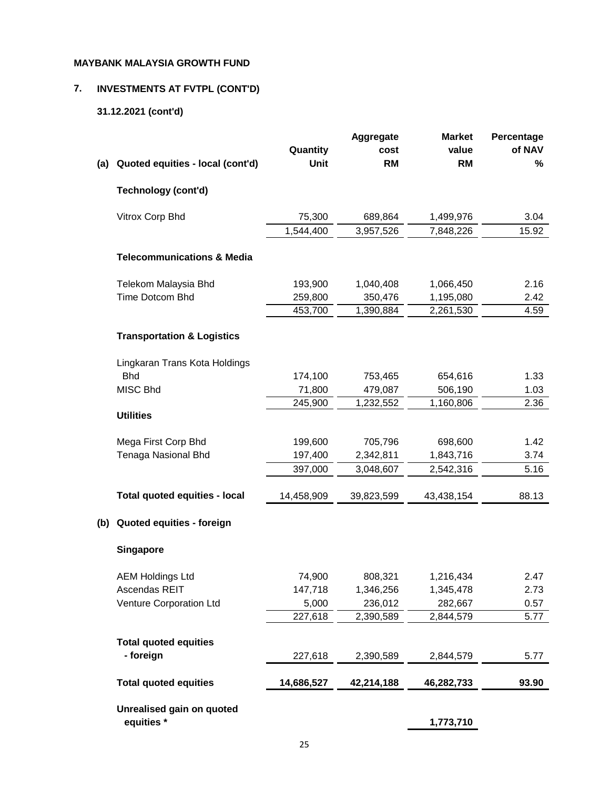# **7. INVESTMENTS AT FVTPL (CONT'D)**

# **31.12.2021 (cont'd)**

|     |                                       |                  | <b>Aggregate</b>  | <b>Market</b>      | Percentage     |
|-----|---------------------------------------|------------------|-------------------|--------------------|----------------|
|     |                                       | Quantity<br>Unit | cost<br><b>RM</b> | value<br><b>RM</b> | of NAV<br>$\%$ |
| (a) | Quoted equities - local (cont'd)      |                  |                   |                    |                |
|     | Technology (cont'd)                   |                  |                   |                    |                |
|     | Vitrox Corp Bhd                       | 75,300           | 689,864           | 1,499,976          | 3.04           |
|     |                                       | 1,544,400        | 3,957,526         | 7,848,226          | 15.92          |
|     | <b>Telecommunications &amp; Media</b> |                  |                   |                    |                |
|     | Telekom Malaysia Bhd                  | 193,900          | 1,040,408         | 1,066,450          | 2.16           |
|     | Time Dotcom Bhd                       | 259,800          | 350,476           | 1,195,080          | 2.42           |
|     |                                       | 453,700          | 1,390,884         | 2,261,530          | 4.59           |
|     | <b>Transportation &amp; Logistics</b> |                  |                   |                    |                |
|     | Lingkaran Trans Kota Holdings         |                  |                   |                    |                |
|     | <b>Bhd</b>                            | 174,100          | 753,465           | 654,616            | 1.33           |
|     | MISC Bhd                              | 71,800           | 479,087           | 506,190            | 1.03           |
|     |                                       | 245,900          | 1,232,552         | 1,160,806          | 2.36           |
|     | <b>Utilities</b>                      |                  |                   |                    |                |
|     | Mega First Corp Bhd                   | 199,600          | 705,796           | 698,600            | 1.42           |
|     | Tenaga Nasional Bhd                   | 197,400          | 2,342,811         | 1,843,716          | 3.74           |
|     |                                       | 397,000          | 3,048,607         | 2,542,316          | 5.16           |
|     | Total quoted equities - local         | 14,458,909       | 39,823,599        | 43,438,154         | 88.13          |
| (b) | Quoted equities - foreign             |                  |                   |                    |                |
|     | <b>Singapore</b>                      |                  |                   |                    |                |
|     | <b>AEM Holdings Ltd</b>               | 74,900           | 808,321           | 1,216,434          | 2.47           |
|     | Ascendas REIT                         | 147,718          | 1,346,256         | 1,345,478          | 2.73           |
|     | Venture Corporation Ltd               | 5,000            | 236,012           | 282,667            | 0.57           |
|     |                                       | 227,618          | 2,390,589         | 2,844,579          | 5.77           |
|     | <b>Total quoted equities</b>          |                  |                   |                    |                |
|     | - foreign                             | 227,618          | 2,390,589         | 2,844,579          | 5.77           |
|     | <b>Total quoted equities</b>          | 14,686,527       | 42,214,188        | 46,282,733         | 93.90          |
|     | Unrealised gain on quoted             |                  |                   |                    |                |
|     | equities *                            |                  |                   | 1,773,710          |                |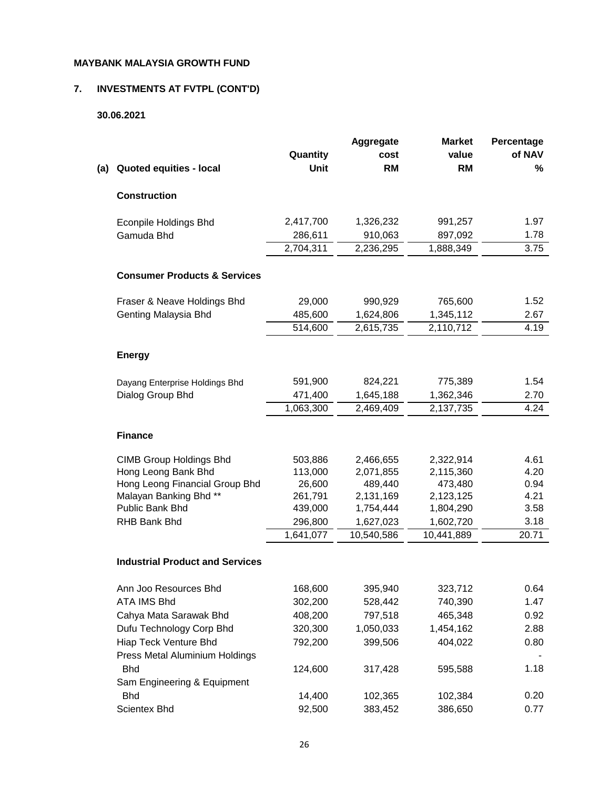# **7. INVESTMENTS AT FVTPL (CONT'D)**

# **30.06.2021**

|     |                                              |                      | Aggregate               | <b>Market</b>           | Percentage   |
|-----|----------------------------------------------|----------------------|-------------------------|-------------------------|--------------|
|     |                                              | Quantity             | cost                    | value                   | of NAV       |
| (a) | Quoted equities - local                      | Unit                 | <b>RM</b>               | <b>RM</b>               | %            |
|     | <b>Construction</b>                          |                      |                         |                         |              |
|     | <b>Econpile Holdings Bhd</b>                 | 2,417,700            | 1,326,232               | 991,257                 | 1.97         |
|     | Gamuda Bhd                                   | 286,611              | 910,063                 | 897,092                 | 1.78         |
|     |                                              | 2,704,311            | 2,236,295               | 1,888,349               | 3.75         |
|     | <b>Consumer Products &amp; Services</b>      |                      |                         |                         |              |
|     | Fraser & Neave Holdings Bhd                  | 29,000               | 990,929                 | 765,600                 | 1.52         |
|     | Genting Malaysia Bhd                         | 485,600              | 1,624,806               | 1,345,112               | 2.67         |
|     |                                              | 514,600              | 2,615,735               | 2,110,712               | 4.19         |
|     | <b>Energy</b>                                |                      |                         |                         |              |
|     | Dayang Enterprise Holdings Bhd               | 591,900              | 824,221                 | 775,389                 | 1.54         |
|     | Dialog Group Bhd                             | 471,400              | 1,645,188               | 1,362,346               | 2.70         |
|     |                                              | 1,063,300            | 2,469,409               | 2,137,735               | 4.24         |
|     | <b>Finance</b>                               |                      |                         |                         |              |
|     | <b>CIMB Group Holdings Bhd</b>               | 503,886              | 2,466,655               | 2,322,914               | 4.61         |
|     | Hong Leong Bank Bhd                          | 113,000              | 2,071,855               | 2,115,360               | 4.20         |
|     | Hong Leong Financial Group Bhd               | 26,600               | 489,440                 | 473,480                 | 0.94         |
|     | Malayan Banking Bhd **                       | 261,791              | 2,131,169               | 2,123,125               | 4.21         |
|     | Public Bank Bhd<br><b>RHB Bank Bhd</b>       | 439,000              | 1,754,444               | 1,804,290               | 3.58<br>3.18 |
|     |                                              | 296,800<br>1,641,077 | 1,627,023<br>10,540,586 | 1,602,720<br>10,441,889 | 20.71        |
|     |                                              |                      |                         |                         |              |
|     | <b>Industrial Product and Services</b>       |                      |                         |                         |              |
|     | Ann Joo Resources Bhd                        | 168,600              | 395,940                 | 323,712                 | 0.64         |
|     | <b>ATA IMS Bhd</b>                           | 302,200              | 528,442                 | 740,390                 | 1.47         |
|     | Cahya Mata Sarawak Bhd                       | 408,200              | 797,518                 | 465,348                 | 0.92         |
|     | Dufu Technology Corp Bhd                     | 320,300              | 1,050,033               | 1,454,162               | 2.88         |
|     | Hiap Teck Venture Bhd                        | 792,200              | 399,506                 | 404,022                 | 0.80         |
|     | Press Metal Aluminium Holdings<br><b>Bhd</b> | 124,600              | 317,428                 | 595,588                 | 1.18         |
|     | Sam Engineering & Equipment                  |                      |                         |                         |              |
|     | <b>Bhd</b>                                   | 14,400               | 102,365                 | 102,384                 | 0.20         |
|     | Scientex Bhd                                 | 92,500               | 383,452                 | 386,650                 | 0.77         |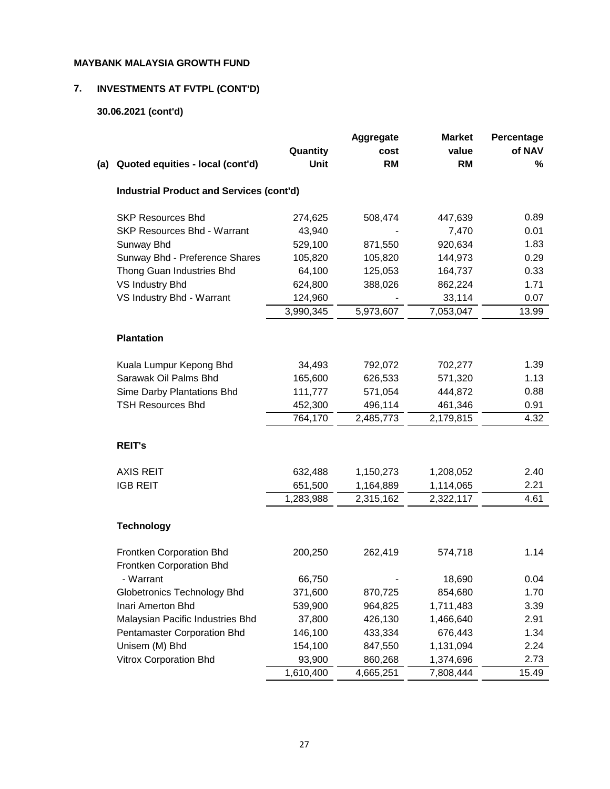# **7. INVESTMENTS AT FVTPL (CONT'D)**

# **30.06.2021 (cont'd)**

|     |                                                      | Quantity  | <b>Aggregate</b><br>cost | <b>Market</b><br>value | Percentage<br>of NAV |
|-----|------------------------------------------------------|-----------|--------------------------|------------------------|----------------------|
| (a) | Quoted equities - local (cont'd)                     | Unit      | <b>RM</b>                | <b>RM</b>              | %                    |
|     | <b>Industrial Product and Services (cont'd)</b>      |           |                          |                        |                      |
|     | <b>SKP Resources Bhd</b>                             | 274,625   | 508,474                  | 447,639                | 0.89                 |
|     | <b>SKP Resources Bhd - Warrant</b>                   | 43,940    |                          | 7,470                  | 0.01                 |
|     | Sunway Bhd                                           | 529,100   | 871,550                  | 920,634                | 1.83                 |
|     | Sunway Bhd - Preference Shares                       | 105,820   | 105,820                  | 144,973                | 0.29                 |
|     | Thong Guan Industries Bhd                            | 64,100    | 125,053                  | 164,737                | 0.33                 |
|     | VS Industry Bhd                                      | 624,800   | 388,026                  | 862,224                | 1.71                 |
|     | VS Industry Bhd - Warrant                            | 124,960   |                          | 33,114                 | 0.07                 |
|     |                                                      | 3,990,345 | 5,973,607                | 7,053,047              | 13.99                |
|     | <b>Plantation</b>                                    |           |                          |                        |                      |
|     | Kuala Lumpur Kepong Bhd                              | 34,493    | 792,072                  | 702,277                | 1.39                 |
|     | Sarawak Oil Palms Bhd                                | 165,600   | 626,533                  | 571,320                | 1.13                 |
|     | Sime Darby Plantations Bhd                           | 111,777   | 571,054                  | 444,872                | 0.88                 |
|     | <b>TSH Resources Bhd</b>                             | 452,300   | 496,114                  | 461,346                | 0.91                 |
|     |                                                      | 764,170   | 2,485,773                | 2,179,815              | 4.32                 |
|     | <b>REIT's</b>                                        |           |                          |                        |                      |
|     | <b>AXIS REIT</b>                                     | 632,488   | 1,150,273                | 1,208,052              | 2.40                 |
|     | <b>IGB REIT</b>                                      | 651,500   | 1,164,889                | 1,114,065              | 2.21                 |
|     |                                                      | 1,283,988 | 2,315,162                | 2,322,117              | 4.61                 |
|     | <b>Technology</b>                                    |           |                          |                        |                      |
|     | Frontken Corporation Bhd<br>Frontken Corporation Bhd | 200,250   | 262,419                  | 574,718                | 1.14                 |
|     | - Warrant                                            | 66,750    |                          | 18,690                 | 0.04                 |
|     | <b>Globetronics Technology Bhd</b>                   | 371,600   | 870,725                  | 854,680                | 1.70                 |
|     | Inari Amerton Bhd                                    | 539,900   | 964,825                  | 1,711,483              | 3.39                 |
|     | Malaysian Pacific Industries Bhd                     | 37,800    | 426,130                  | 1,466,640              | 2.91                 |
|     | Pentamaster Corporation Bhd                          | 146,100   | 433,334                  | 676,443                | 1.34                 |
|     | Unisem (M) Bhd                                       | 154,100   | 847,550                  | 1,131,094              | 2.24                 |
|     | Vitrox Corporation Bhd                               | 93,900    | 860,268                  | 1,374,696              | 2.73                 |
|     |                                                      | 1,610,400 | 4,665,251                | 7,808,444              | 15.49                |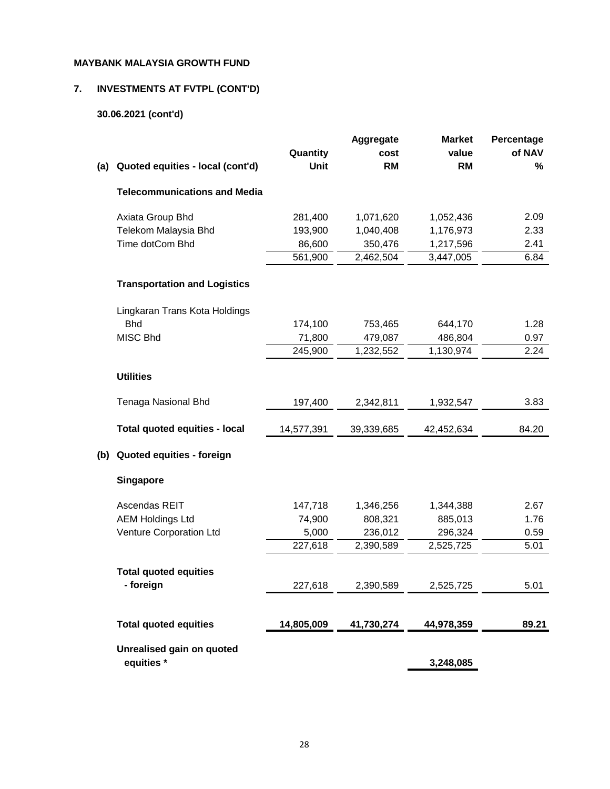# **7. INVESTMENTS AT FVTPL (CONT'D)**

# **30.06.2021 (cont'd)**

|     |                                     | Quantity   | Aggregate<br>cost | <b>Market</b><br>value | Percentage<br>of NAV |
|-----|-------------------------------------|------------|-------------------|------------------------|----------------------|
| (a) | Quoted equities - local (cont'd)    | Unit       | <b>RM</b>         | <b>RM</b>              | %                    |
|     | <b>Telecommunications and Media</b> |            |                   |                        |                      |
|     | Axiata Group Bhd                    | 281,400    | 1,071,620         | 1,052,436              | 2.09                 |
|     | Telekom Malaysia Bhd                | 193,900    | 1,040,408         | 1,176,973              | 2.33                 |
|     | Time dotCom Bhd                     | 86,600     | 350,476           | 1,217,596              | 2.41                 |
|     |                                     | 561,900    | 2,462,504         | 3,447,005              | 6.84                 |
|     | <b>Transportation and Logistics</b> |            |                   |                        |                      |
|     | Lingkaran Trans Kota Holdings       |            |                   |                        |                      |
|     | <b>Bhd</b>                          | 174,100    | 753,465           | 644,170                | 1.28                 |
|     | MISC Bhd                            | 71,800     | 479,087           | 486,804                | 0.97                 |
|     |                                     | 245,900    | 1,232,552         | 1,130,974              | 2.24                 |
|     | <b>Utilities</b>                    |            |                   |                        |                      |
|     | Tenaga Nasional Bhd                 | 197,400    | 2,342,811         | 1,932,547              | 3.83                 |
|     | Total quoted equities - local       | 14,577,391 | 39,339,685        | 42,452,634             | 84.20                |
| (b) | Quoted equities - foreign           |            |                   |                        |                      |
|     | <b>Singapore</b>                    |            |                   |                        |                      |
|     | Ascendas REIT                       | 147,718    | 1,346,256         | 1,344,388              | 2.67                 |
|     | <b>AEM Holdings Ltd</b>             | 74,900     | 808,321           | 885,013                | 1.76                 |
|     | Venture Corporation Ltd             | 5,000      | 236,012           | 296,324                | 0.59                 |
|     |                                     | 227,618    | 2,390,589         | 2,525,725              | 5.01                 |
|     | <b>Total quoted equities</b>        |            |                   |                        |                      |
|     |                                     |            |                   | 2,525,725              |                      |
|     | - foreign                           | 227,618    | 2,390,589         |                        | 5.01                 |
|     | <b>Total quoted equities</b>        | 14,805,009 | 41,730,274        | 44,978,359             | 89.21                |
|     | Unrealised gain on quoted           |            |                   |                        |                      |
|     | equities *                          |            |                   | 3,248,085              |                      |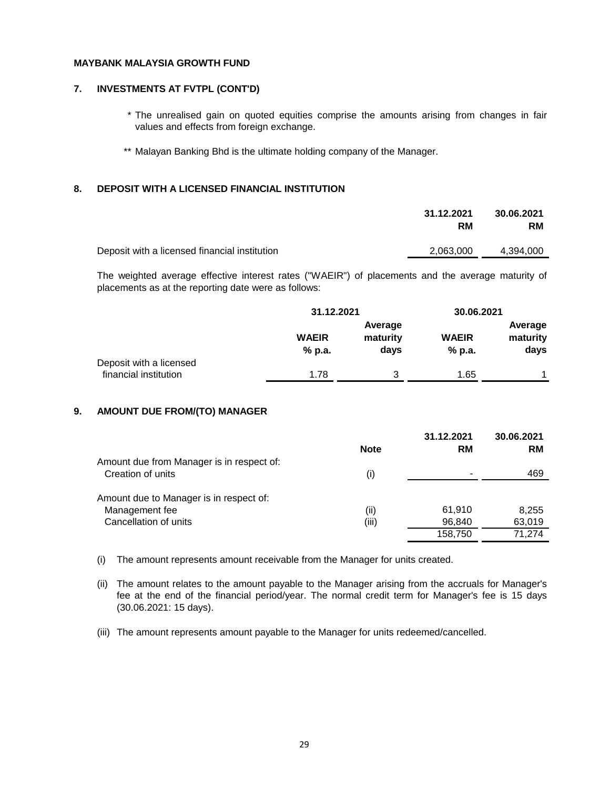#### **7. INVESTMENTS AT FVTPL (CONT'D)**

- \* The unrealised gain on quoted equities comprise the amounts arising from changes in fair values and effects from foreign exchange.
- \*\* Malayan Banking Bhd is the ultimate holding company of the Manager.

#### **8. DEPOSIT WITH A LICENSED FINANCIAL INSTITUTION**

| 31.12.2021<br><b>RM</b> | 30.06.2021<br><b>RM</b> |
|-------------------------|-------------------------|
| 2,063,000               | 4,394,000               |
|                         |                         |

The weighted average effective interest rates ("WAEIR") of placements and the average maturity of placements as at the reporting date were as follows:

|                                                  |                        | 31.12.2021                  |                        | 30.06.2021                  |  |  |  |
|--------------------------------------------------|------------------------|-----------------------------|------------------------|-----------------------------|--|--|--|
|                                                  | <b>WAEIR</b><br>% p.a. | Average<br>maturity<br>days | <b>WAEIR</b><br>% p.a. | Average<br>maturity<br>days |  |  |  |
| Deposit with a licensed<br>financial institution | 1.78                   | 3                           | 1.65                   |                             |  |  |  |

#### **9. AMOUNT DUE FROM/(TO) MANAGER**

|                                           |             | 31.12.2021 | 30.06.2021 |
|-------------------------------------------|-------------|------------|------------|
|                                           | <b>Note</b> | <b>RM</b>  | <b>RM</b>  |
| Amount due from Manager is in respect of: |             |            |            |
| Creation of units                         | (i)         |            | 469        |
| Amount due to Manager is in respect of:   |             |            |            |
| Management fee                            | (ii)        | 61.910     | 8.255      |
| Cancellation of units                     | (iii)       | 96,840     | 63,019     |
|                                           |             | 158,750    | 71.274     |

(i) The amount represents amount receivable from the Manager for units created.

(ii) The amount relates to the amount payable to the Manager arising from the accruals for Manager's fee at the end of the financial period/year. The normal credit term for Manager's fee is 15 days (30.06.2021: 15 days).

(iii) The amount represents amount payable to the Manager for units redeemed/cancelled.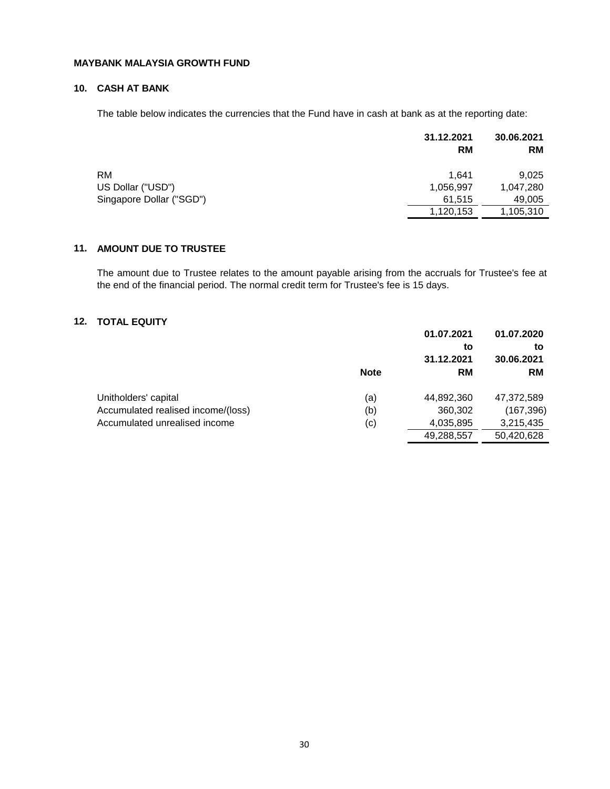# **10. CASH AT BANK**

The table below indicates the currencies that the Fund have in cash at bank as at the reporting date:

|                          | 31.12.2021<br><b>RM</b> | 30.06.2021<br><b>RM</b> |
|--------------------------|-------------------------|-------------------------|
| <b>RM</b>                | 1.641                   | 9,025                   |
| US Dollar ("USD")        | 1,056,997               | 1,047,280               |
| Singapore Dollar ("SGD") | 61,515                  | 49,005                  |
|                          | 1,120,153               | 1,105,310               |

# **11. AMOUNT DUE TO TRUSTEE**

The amount due to Trustee relates to the amount payable arising from the accruals for Trustee's fee at the end of the financial period. The normal credit term for Trustee's fee is 15 days.

# **12. TOTAL EQUITY**

|                                    | 01.07.2021  |            | 01.07.2020 |  |
|------------------------------------|-------------|------------|------------|--|
|                                    |             | to         | to         |  |
|                                    |             | 31.12.2021 | 30.06.2021 |  |
|                                    | <b>Note</b> | <b>RM</b>  | <b>RM</b>  |  |
| Unitholders' capital               | (a)         | 44,892,360 | 47,372,589 |  |
| Accumulated realised income/(loss) | (b)         | 360,302    | (167, 396) |  |
| Accumulated unrealised income      | (c)         | 4,035,895  | 3,215,435  |  |
|                                    |             | 49,288,557 | 50,420,628 |  |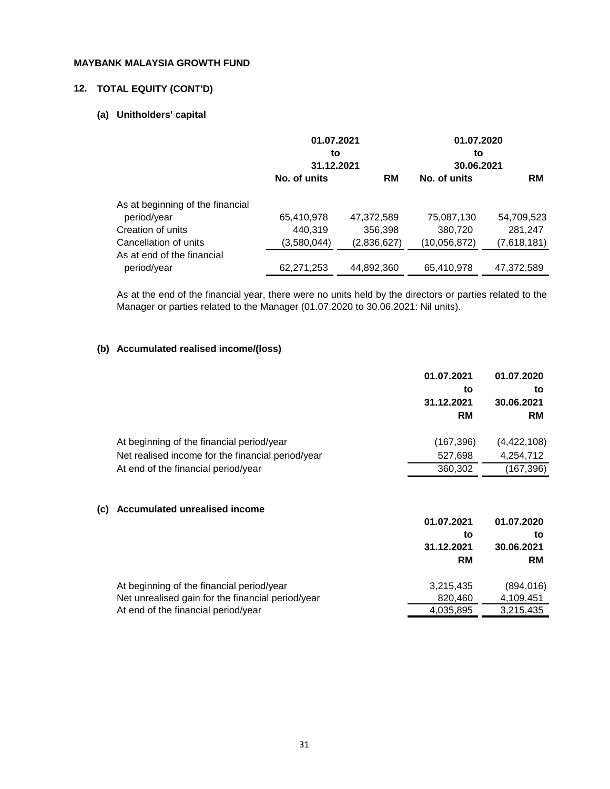# **12. TOTAL EQUITY (CONT'D)**

#### **(a) Unitholders' capital**

|                                  | 01.07.2021<br>to<br>31.12.2021 |             | 01.07.2020<br>to<br>30.06.2021 |             |
|----------------------------------|--------------------------------|-------------|--------------------------------|-------------|
|                                  | No. of units                   | <b>RM</b>   | No. of units                   | <b>RM</b>   |
| As at beginning of the financial |                                |             |                                |             |
| period/year                      | 65,410,978                     | 47,372,589  | 75,087,130                     | 54,709,523  |
| Creation of units                | 440.319                        | 356,398     | 380,720                        | 281,247     |
| Cancellation of units            | (3,580,044)                    | (2,836,627) | (10, 056, 872)                 | (7,618,181) |
| As at end of the financial       |                                |             |                                |             |
| period/year                      | 62,271,253                     | 44,892,360  | 65,410,978                     | 47,372,589  |

As at the end of the financial year, there were no units held by the directors or parties related to the Manager or parties related to the Manager (01.07.2020 to 30.06.2021: Nil units).

# **(b) Accumulated realised income/(loss)**

|     |                                                   | 01.07.2021<br>to<br>31.12.2021<br><b>RM</b> | 01.07.2020<br>to<br>30.06.2021<br><b>RM</b> |
|-----|---------------------------------------------------|---------------------------------------------|---------------------------------------------|
|     | At beginning of the financial period/year         | (167, 396)                                  | (4,422,108)                                 |
|     | Net realised income for the financial period/year | 527,698                                     | 4,254,712                                   |
|     | At end of the financial period/year               | 360,302                                     | (167, 396)                                  |
| (c) | Accumulated unrealised income                     | 01.07.2021                                  | 01.07.2020                                  |
|     |                                                   |                                             |                                             |
|     |                                                   | to<br>31.12.2021                            | to<br>30.06.2021                            |
|     |                                                   |                                             |                                             |
|     |                                                   | <b>RM</b>                                   | <b>RM</b>                                   |
|     | At beginning of the financial period/year         | 3,215,435                                   | (894, 016)                                  |
|     | Net unrealised gain for the financial period/year | 820,460                                     | 4,109,451                                   |
|     | At end of the financial period/year               | 4,035,895                                   | 3,215,435                                   |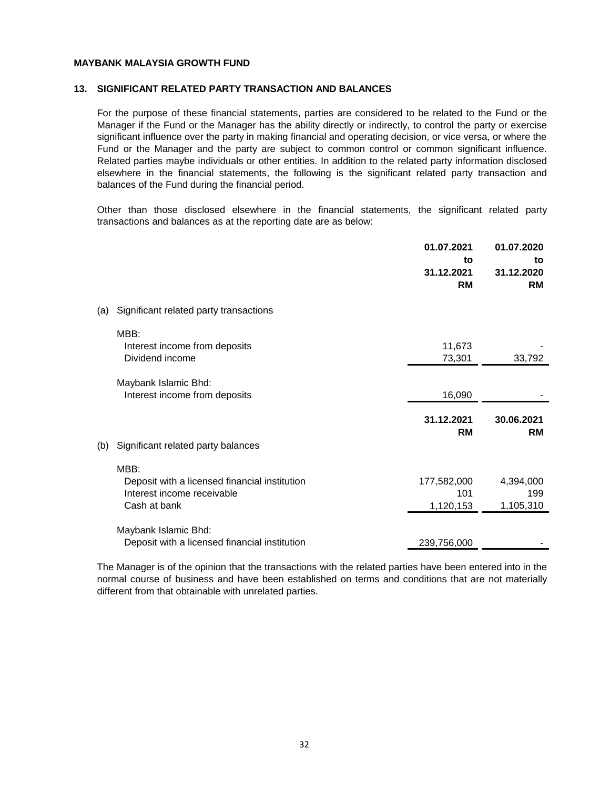#### **13. SIGNIFICANT RELATED PARTY TRANSACTION AND BALANCES**

For the purpose of these financial statements, parties are considered to be related to the Fund or the Manager if the Fund or the Manager has the ability directly or indirectly, to control the party or exercise significant influence over the party in making financial and operating decision, or vice versa, or where the Fund or the Manager and the party are subject to common control or common significant influence. Related parties maybe individuals or other entities. In addition to the related party information disclosed elsewhere in the financial statements, the following is the significant related party transaction and balances of the Fund during the financial period.

Other than those disclosed elsewhere in the financial statements, the significant related party transactions and balances as at the reporting date are as below:

|     |                                                                                                     | 01.07.2021<br>to<br>31.12.2021<br><b>RM</b> | 01.07.2020<br>to<br>31.12.2020<br><b>RM</b> |
|-----|-----------------------------------------------------------------------------------------------------|---------------------------------------------|---------------------------------------------|
| (a) | Significant related party transactions                                                              |                                             |                                             |
|     | MBB:<br>Interest income from deposits<br>Dividend income                                            | 11,673<br>73,301                            | 33,792                                      |
|     | Maybank Islamic Bhd:<br>Interest income from deposits                                               | 16,090                                      |                                             |
|     |                                                                                                     | 31.12.2021<br><b>RM</b>                     | 30.06.2021<br><b>RM</b>                     |
| (b) | Significant related party balances                                                                  |                                             |                                             |
|     | MBB:<br>Deposit with a licensed financial institution<br>Interest income receivable<br>Cash at bank | 177,582,000<br>101<br>1,120,153             | 4,394,000<br>199<br>1,105,310               |
|     | Maybank Islamic Bhd:<br>Deposit with a licensed financial institution                               | 239,756,000                                 |                                             |

The Manager is of the opinion that the transactions with the related parties have been entered into in the normal course of business and have been established on terms and conditions that are not materially different from that obtainable with unrelated parties.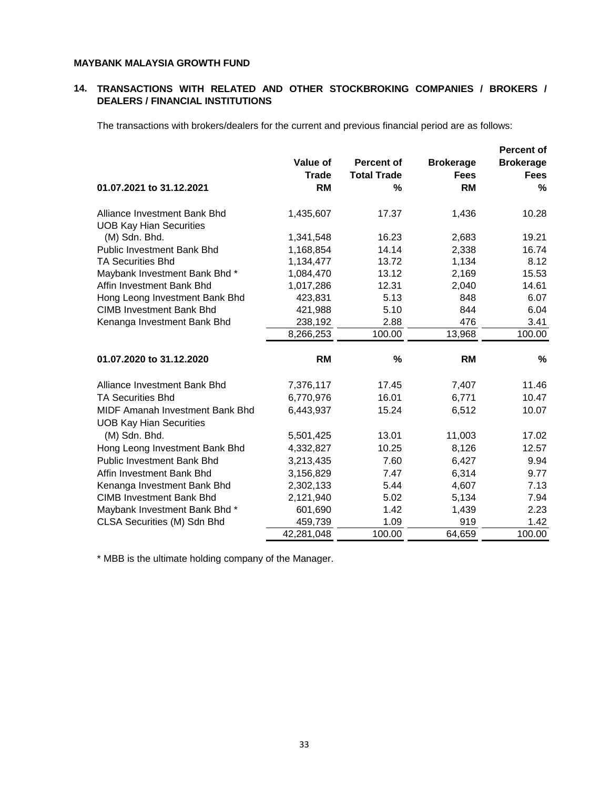#### **14. TRANSACTIONS WITH RELATED AND OTHER STOCKBROKING COMPANIES / BROKERS / DEALERS / FINANCIAL INSTITUTIONS**

The transactions with brokers/dealers for the current and previous financial period are as follows:

|                                                                   |              |                    |                  | <b>Percent of</b> |
|-------------------------------------------------------------------|--------------|--------------------|------------------|-------------------|
|                                                                   | Value of     | <b>Percent of</b>  | <b>Brokerage</b> | <b>Brokerage</b>  |
|                                                                   | <b>Trade</b> | <b>Total Trade</b> | <b>Fees</b>      | <b>Fees</b>       |
| 01.07.2021 to 31.12.2021                                          | RM           | %                  | <b>RM</b>        | %                 |
| Alliance Investment Bank Bhd<br><b>UOB Kay Hian Securities</b>    | 1,435,607    | 17.37              | 1,436            | 10.28             |
| (M) Sdn. Bhd.                                                     | 1,341,548    | 16.23              | 2,683            | 19.21             |
| <b>Public Investment Bank Bhd</b>                                 | 1,168,854    | 14.14              | 2,338            | 16.74             |
| <b>TA Securities Bhd</b>                                          | 1,134,477    | 13.72              | 1,134            | 8.12              |
| Maybank Investment Bank Bhd*                                      | 1,084,470    | 13.12              | 2,169            | 15.53             |
| Affin Investment Bank Bhd                                         | 1,017,286    | 12.31              | 2,040            | 14.61             |
| Hong Leong Investment Bank Bhd                                    | 423,831      | 5.13               | 848              | 6.07              |
| <b>CIMB Investment Bank Bhd</b>                                   | 421,988      | 5.10               | 844              | 6.04              |
| Kenanga Investment Bank Bhd                                       | 238,192      | 2.88               | 476              | 3.41              |
|                                                                   | 8,266,253    | 100.00             | 13,968           | 100.00            |
| 01.07.2020 to 31.12.2020                                          | <b>RM</b>    | %                  | <b>RM</b>        | $\%$              |
| Alliance Investment Bank Bhd                                      | 7,376,117    | 17.45              | 7,407            | 11.46             |
| <b>TA Securities Bhd</b>                                          | 6,770,976    | 16.01              | 6,771            | 10.47             |
| MIDF Amanah Investment Bank Bhd<br><b>UOB Kay Hian Securities</b> | 6,443,937    | 15.24              | 6,512            | 10.07             |
| (M) Sdn. Bhd.                                                     | 5,501,425    | 13.01              | 11,003           | 17.02             |
| Hong Leong Investment Bank Bhd                                    | 4,332,827    | 10.25              | 8,126            | 12.57             |
| <b>Public Investment Bank Bhd</b>                                 | 3,213,435    | 7.60               | 6,427            | 9.94              |
| Affin Investment Bank Bhd                                         | 3,156,829    | 7.47               | 6,314            | 9.77              |
| Kenanga Investment Bank Bhd                                       | 2,302,133    | 5.44               | 4,607            | 7.13              |
| <b>CIMB Investment Bank Bhd</b>                                   | 2,121,940    | 5.02               | 5,134            | 7.94              |
| Maybank Investment Bank Bhd*                                      | 601,690      | 1.42               | 1,439            | 2.23              |
| CLSA Securities (M) Sdn Bhd                                       | 459,739      | 1.09               | 919              | 1.42              |
|                                                                   | 42,281,048   | 100.00             | 64,659           | 100.00            |

\* MBB is the ultimate holding company of the Manager.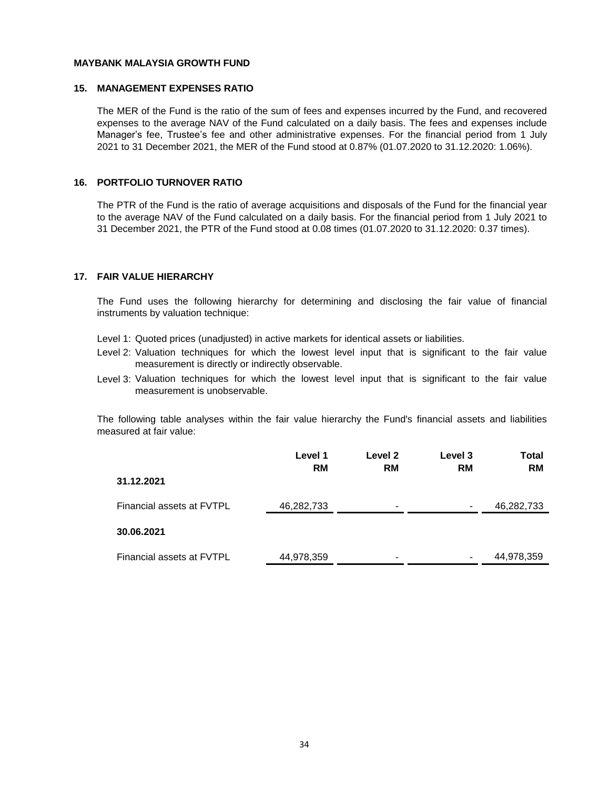#### **15. MANAGEMENT EXPENSES RATIO**

The MER of the Fund is the ratio of the sum of fees and expenses incurred by the Fund, and recovered expenses to the average NAV of the Fund calculated on a daily basis. The fees and expenses include Manager's fee, Trustee's fee and other administrative expenses. For the financial period from 1 July 2021 to 31 December 2021, the MER of the Fund stood at 0.87% (01.07.2020 to 31.12.2020: 1.06%).

#### **16. PORTFOLIO TURNOVER RATIO**

The PTR of the Fund is the ratio of average acquisitions and disposals of the Fund for the financial year to the average NAV of the Fund calculated on a daily basis. For the financial period from 1 July 2021 to 31 December 2021, the PTR of the Fund stood at 0.08 times (01.07.2020 to 31.12.2020: 0.37 times).

#### **17. FAIR VALUE HIERARCHY**

The Fund uses the following hierarchy for determining and disclosing the fair value of financial instruments by valuation technique:

- Level 1: Quoted prices (unadjusted) in active markets for identical assets or liabilities.
- Level 2: Valuation techniques for which the lowest level input that is significant to the fair value measurement is directly or indirectly observable.
- Level 3: Valuation techniques for which the lowest level input that is significant to the fair value measurement is unobservable.

The following table analyses within the fair value hierarchy the Fund's financial assets and liabilities measured at fair value:

|                           | Level 1<br><b>RM</b> | Level 2<br><b>RM</b> | Level 3<br><b>RM</b> | Total<br><b>RM</b> |
|---------------------------|----------------------|----------------------|----------------------|--------------------|
| 31.12.2021                |                      |                      |                      |                    |
| Financial assets at FVTPL | 46,282,733           | $\blacksquare$       | -                    | 46,282,733         |
| 30.06.2021                |                      |                      |                      |                    |
| Financial assets at FVTPL | 44,978,359           | -                    | -                    | 44,978,359         |